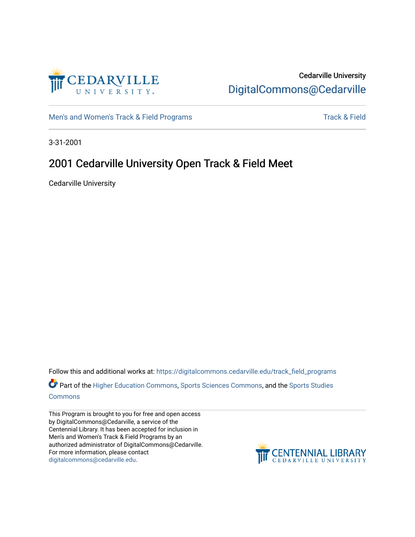

### Cedarville University [DigitalCommons@Cedarville](https://digitalcommons.cedarville.edu/)

[Men's and Women's Track & Field Programs](https://digitalcommons.cedarville.edu/track_field_programs) [Track & Field](https://digitalcommons.cedarville.edu/track_and_field) Structure and Momen's Track & Field

3-31-2001

# 2001 Cedarville University Open Track & Field Meet

Cedarville University

Follow this and additional works at: [https://digitalcommons.cedarville.edu/track\\_field\\_programs](https://digitalcommons.cedarville.edu/track_field_programs?utm_source=digitalcommons.cedarville.edu%2Ftrack_field_programs%2F43&utm_medium=PDF&utm_campaign=PDFCoverPages)  Part of the [Higher Education Commons,](http://network.bepress.com/hgg/discipline/1245?utm_source=digitalcommons.cedarville.edu%2Ftrack_field_programs%2F43&utm_medium=PDF&utm_campaign=PDFCoverPages) [Sports Sciences Commons,](http://network.bepress.com/hgg/discipline/759?utm_source=digitalcommons.cedarville.edu%2Ftrack_field_programs%2F43&utm_medium=PDF&utm_campaign=PDFCoverPages) and the [Sports Studies](http://network.bepress.com/hgg/discipline/1198?utm_source=digitalcommons.cedarville.edu%2Ftrack_field_programs%2F43&utm_medium=PDF&utm_campaign=PDFCoverPages)  [Commons](http://network.bepress.com/hgg/discipline/1198?utm_source=digitalcommons.cedarville.edu%2Ftrack_field_programs%2F43&utm_medium=PDF&utm_campaign=PDFCoverPages)

This Program is brought to you for free and open access by DigitalCommons@Cedarville, a service of the Centennial Library. It has been accepted for inclusion in Men's and Women's Track & Field Programs by an authorized administrator of DigitalCommons@Cedarville. For more information, please contact [digitalcommons@cedarville.edu](mailto:digitalcommons@cedarville.edu).

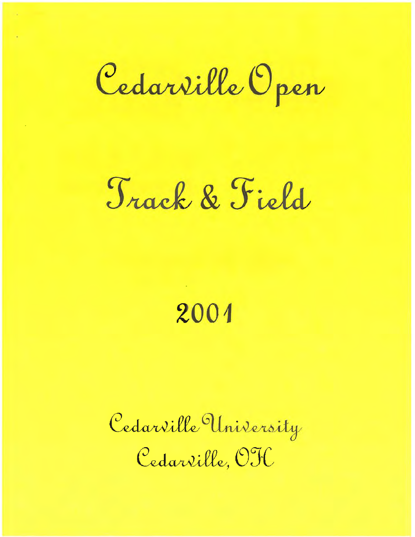Cedarville Open

# Track & Field

# **2001**

darville, OTC Cedarville University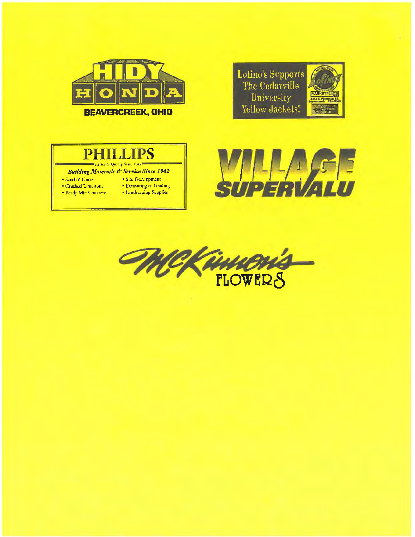

# **PHILLIPS**<br>Service & Quality Since 1942

**Building Materials & Service Since 1942** 

- Sand & Gravel  **Site Development** 
	-
- Ready Mix Concrete · Landscaping Supplies
- Crushed Limestone • Excavating & Grading
	-



Lofino's Supports The Cedarville University Yellow Jackets!

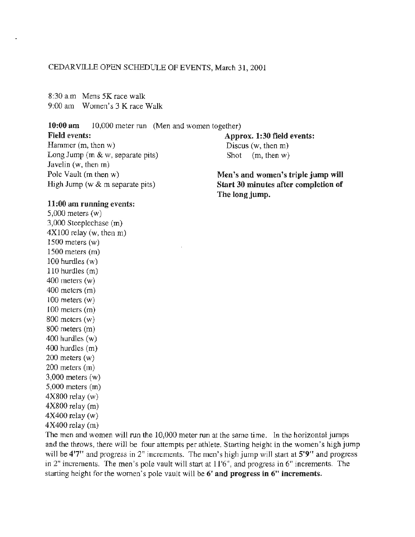#### CEDARVILLE OPEN SCHEDULE OF EVENTS, March 31, 2001

8:30 a.m Mens 5K race walk 9:00 am Women's 3 K race Walk

**10:00 am** 10,000 meter run (Men and women together)

#### **Field events:**

Hammer (m, then w) Long Jump (m & w, separate pits) Javelin (w, then m) Pole Vault (m then w) High Jump (w & m separate pits)

#### **Approx. 1:30 field events:**  Discus (w, then m) Shot (m, then w)

**Men's and women's triple jump will Start 30 minutes after completion of The long jump.** 

#### **11:00 am running events:**

5,000 meters (w) 3,000 Steeplechase (m)  $4X100$  relay (w, then m) 1500 meters (w) 1500 meters (m) 100 hurdles (w) 110 hurdles (m) 400 meters  $(w)$ 400 meters (m)  $100$  meters  $(w)$ 100 meters (m)  $800$  meters  $(w)$ 800 meters (m)  $400$  hurdles  $(w)$ 400 hurdles (m) 200 meters (w) 200 meters (m) 3,000 meters (w) 5,000 meters (m)  $4X800$  relay (w)  $4X800$  relay  $(m)$ 4X400 relay (w) 4X400 relay (m)

The men and women will run the 10,000 meter run at the same time. ln the horizontal jumps and the throws, there will be four attempts per athlete. Starting height in the women's high jump will be 4'7" and progress in 2" increments. The men's high jump will start at 5'9" and progress in 2" increments. The men's pole vault will start at 11 '6", and progress in 6" increments. The starting height for the women's pole vault will be **6' and progress in 6" increments.**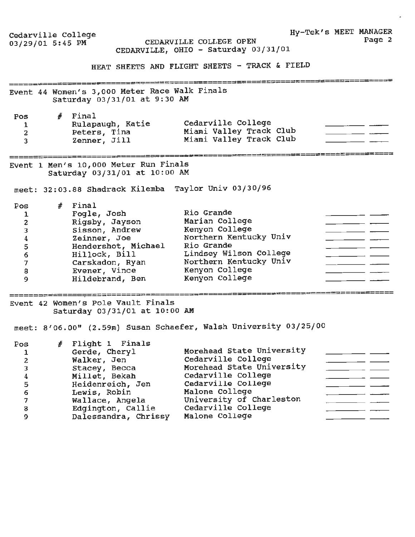| Cedarville College<br>03/29/01 5:45 PM                                                                    |   |                                                                                                                                                                                       | CEDARVILLE COLLEGE OPEN<br>CEDARVILLE, OHIO - Saturday 03/31/01<br>HEAT SHEETS AND FLIGHT SHEETS - TRACK & FIELD                                                                                               | Hy-Tek's MEET MANAGER | Page 2 |
|-----------------------------------------------------------------------------------------------------------|---|---------------------------------------------------------------------------------------------------------------------------------------------------------------------------------------|----------------------------------------------------------------------------------------------------------------------------------------------------------------------------------------------------------------|-----------------------|--------|
|                                                                                                           |   | Event 44 Women's 3,000 Meter Race Walk Finals<br>Saturday 03/31/01 at 9:30 AM                                                                                                         |                                                                                                                                                                                                                |                       |        |
| Pos<br>1<br>$\mathbf{z}$<br>3                                                                             |   | $#$ Final<br>Rulapaugh, Katie<br>Peters, Tina<br>Zenner, Jill                                                                                                                         | Cedarville College<br>Miami Valley Track Club<br>Miami Valley Track Club                                                                                                                                       |                       |        |
|                                                                                                           |   | Event 1 Men's 10,000 Meter Run Finals<br>Saturday 03/31/01 at 10:00 AM                                                                                                                |                                                                                                                                                                                                                |                       |        |
|                                                                                                           |   | meet: 32:03.88 Shadrack Kilemba Taylor Univ 03/30/96                                                                                                                                  |                                                                                                                                                                                                                |                       |        |
| Pos<br>1<br>$\overline{\mathbf{c}}$<br>3<br>$\boldsymbol{4}$<br>$\frac{5}{6}$<br>$\overline{7}$<br>8<br>9 |   | $#$ Final<br>Fogle, Josh<br>Rigsby, Jayson<br>Sisson, Andrew<br>Zeinner, Joe<br>Hendershot, Michael<br>Hillock, Bill<br>Carskadon, Ryan<br>Evener, Vince<br>Hildebrand, Ben           | Rio Grande<br>Marian College<br>Kenyon College<br>Northern Kentucky Univ<br>Rio Grande<br>Lindsey Wilson College<br>Northern Kentucky Univ<br>Kenyon College<br>Kenyon College                                 |                       |        |
|                                                                                                           |   | Event 42 Women's Pole Vault Finals<br>Saturday 03/31/01 at 10:00 AM                                                                                                                   |                                                                                                                                                                                                                |                       |        |
|                                                                                                           |   |                                                                                                                                                                                       | meet: 8'06.00" (2.59m) Susan Schaefer, Walsh University 03/25/00                                                                                                                                               |                       |        |
| Pos<br>1<br>2<br>3<br>$\boldsymbol{4}$<br>5<br>6<br>$\overline{7}$<br>8<br>9                              | # | Flight 1 Finals<br>Gerde, Cheryl<br>Walker, Jen<br>Stacey, Becca<br>Millet, Bekah<br>Heidenreich, Jen<br>Lewis, Robin<br>Wallace, Angela<br>Edgington, Callie<br>Dalessandra, Chrissy | Morehead State University<br>Cedarville College<br>Morehead State University<br>Cedarville College<br>Cedarville College<br>Malone College<br>University of Charleston<br>Cedarville College<br>Malone College |                       |        |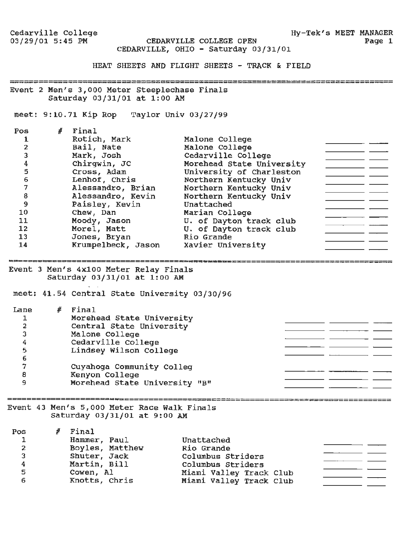CEDARVILLE COLLEGE OPEN CEDARVILLE, OHIO - Saturday 03/31/01

HEAT SHEETS AND FLIGHT SHEETS - TRACK & FIELD

Event 2 Men's 3,000 Meter steeplechase Finals Saturday 03/31/01 at 1:00 AM

meet: 9:10.71 Kip Rop Taylor Univ 03/27/99

| Pos          | # | Final              |                           |  |
|--------------|---|--------------------|---------------------------|--|
|              |   | Rotich, Mark       | Malone College            |  |
| $\mathbf{2}$ |   | Bail, Nate         | Malone College            |  |
| 3            |   | Mark, Josh         | Cedarville College        |  |
| 4            |   | Chirqwin, JC       | Morehead State University |  |
| 5            |   | Cross, Adam        | University of Charleston  |  |
| 6            |   | Lenhof, Chris      | Northern Kentucky Univ    |  |
| 7            |   | Alessandro, Brian  | Northern Kentucky Univ    |  |
| 8            |   | Alessandro, Kevin  | Northern Kentucky Univ    |  |
| 9            |   | Paisley, Kevin     | Unattached                |  |
| 10           |   | Chew, Dan          | Marian College            |  |
| 11           |   | Moody, Jason       | U. of Dayton track club   |  |
| 12           |   | Morel, Matt        | U. of Dayton track club   |  |
| 13           |   | Jones, Bryan       | Rio Grande                |  |
| 14           |   | Krumpelbeck, Jason | Xavier University         |  |

Event 3 Men's 4x100 Meter Relay Finals

Saturday 03/31/01 at 1:00 AM

meet: 41.54 Central State University 03/30/96

| Lane | Final                            |  |
|------|----------------------------------|--|
|      | Morehead State University        |  |
| 2    | Central State University         |  |
| 3    | Malone College                   |  |
| 4    | Cedarville College               |  |
| 5    | Lindsey Wilson College           |  |
| 6    |                                  |  |
|      | Cuyahoga Community Colleg        |  |
| 8    | Kenyon College                   |  |
| 9    | Morehead State University<br>"B" |  |

Event 43 Men's 5,000 Meter Race Walk Finals Saturday 03/31/01 at 9:00 AM

| Pos | Final           |                         |  |
|-----|-----------------|-------------------------|--|
| 1   | Hammer, Paul    | Unattached              |  |
| 2   | Boyles, Matthew | Rio Grande              |  |
| 3   | Shuter, Jack    | Columbus Striders       |  |
| 4   | Martin, Bill    | Columbus Striders       |  |
| 5   | Cowen, Al       | Miami Valley Track Club |  |
| 6   | Knotts, Chris   | Miami Valley Track Club |  |

ک کا کا کا کا کا کا کا کا کا بار بازی میں تو بنا ہے جو بازی کا کا کا ا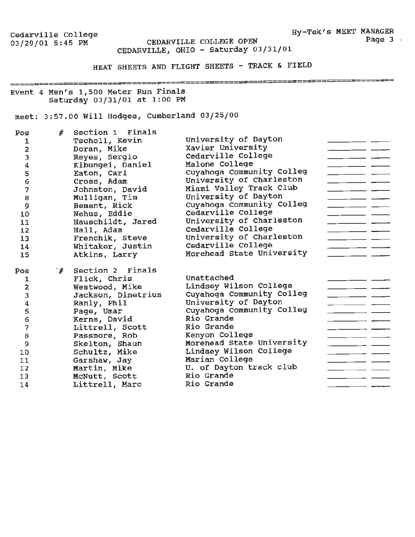Hy-Tek's MEET **MANAGER**  Page 3 ·

Cedarville College<br>03/29/01 5:45 PM

CEDARVILLE COLLEGE OPEN CEDARVILLE, OHIO - Saturday 03/31/01

HEAT SHEETS AND FLIGHT SHEETS - TRACK & FIELD

\*\*======================

#### Event 4 Men's 1,500 Meter Run Finals Saturday 03/31/01 at 1:00 PM

# meet: 3:57.00 Will Hodges, Cumberland 03/25/00

| Pos                     | #   | Section 1 Finals   |                           |  |
|-------------------------|-----|--------------------|---------------------------|--|
| 1                       |     | Tscholl, Kevin     | University of Dayton      |  |
| 2                       |     | Doran, Mike        | Xavier University         |  |
| 3                       |     | Reyes, Sergio      | Cedarville College        |  |
| 4                       |     | Kibungei, Daniel   | Malone College            |  |
| 5                       |     | Eaton, Carl        | Cuyahoga Community Colleg |  |
| 6                       |     | Cross, Adam        | University of Charleston  |  |
| 7                       |     | Johnston, David    | Miami Valley Track Club   |  |
| 8                       |     | Mulligan, Tim      | University of Dayton      |  |
| 9                       |     | Bement, Rick       | Cuyahoga Community Colleg |  |
| 10                      |     | Nehus, Eddie       | Cedarville College        |  |
| 11                      |     | Hauschildt, Jared  | University of Charleston  |  |
| 12                      |     | Hall, Adam         | Cedarville College        |  |
| 13                      |     | Frenchik, Steve    | University of Charleston  |  |
| 14                      |     | Whitaker, Justin   | Cedarville College        |  |
| 15                      |     | Atkins, Larry      | Morehead State University |  |
|                         |     |                    |                           |  |
| Pos                     | ิ # | Section 2 Finals   |                           |  |
| 1                       |     | Flick, Chris       | Unattached                |  |
| $\overline{\mathbf{2}}$ |     | Westwood, Mike     | Lindsey Wilson College    |  |
| 3                       |     | Jackson, Dimetrius | Cuyahoga Community Colleg |  |
| 4                       |     | Ranly, Phil        | University of Dayton      |  |
| 5                       |     | Page, Umar         | Cuyahoga Community Colleg |  |
| 6                       |     |                    |                           |  |
|                         |     | Kerns, David       | Rio Grande                |  |
| 7                       |     | Littrell, Scott    | Rio Grande                |  |
| 8                       |     | Passmore, Rob      | Kenyon College            |  |
| 9                       |     | Skelton, Shaun     | Morehead State University |  |
| 10                      |     | Schultz, Mike      | Lindsey Wilson College    |  |
| 11                      |     | Garshaw, Jay       | Marian College            |  |
| 12                      |     | Martin, Mike       | U. of Dayton track club   |  |
| 13                      |     | McNutt, Scott      | Rio Grande                |  |
| 14                      |     | Littrell, Marc     | Rio Grande                |  |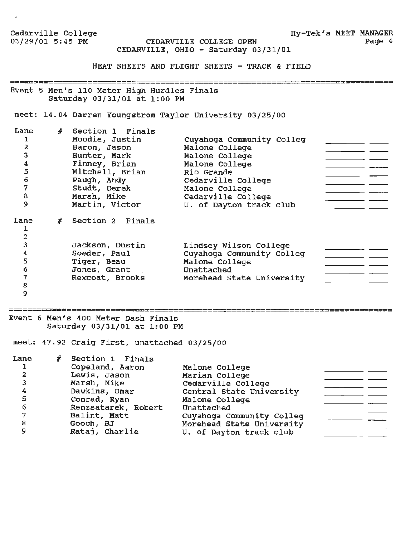| Cedarville College<br>03/29/01 5:45 PM                                        |   |                                                                                                                                                                          | CEDARVILLE COLLEGE OPEN<br>CEDARVILLE, OHIO - Saturday 03/31/01                                                                                                                        | Hy-Tek's MEET MANAGER<br>Page 4 |
|-------------------------------------------------------------------------------|---|--------------------------------------------------------------------------------------------------------------------------------------------------------------------------|----------------------------------------------------------------------------------------------------------------------------------------------------------------------------------------|---------------------------------|
|                                                                               |   |                                                                                                                                                                          | HEAT SHEETS AND FLIGHT SHEETS - TRACK & FIELD                                                                                                                                          |                                 |
|                                                                               |   | Event 5 Men's 110 Meter High Hurdles Finals<br>Saturday 03/31/01 at 1:00 PM                                                                                              |                                                                                                                                                                                        |                                 |
|                                                                               |   |                                                                                                                                                                          | meet: 14.04 Darren Youngstrom Taylor University 03/25/00                                                                                                                               |                                 |
| Lane<br>1<br>$\overline{2}$<br>3<br>4<br>5<br>6<br>7<br>8<br>$\overline{9}$   |   | # Section 1 Finals<br>Moodie, Justin<br>Baron, Jason<br>Hunter, Mark<br>Finney, Brian<br>Mitchell, Brian<br>Paugh, Andy<br>Studt, Derek<br>Marsh, Mike<br>Martin, Victor | Cuyahoga Community Colleg<br>Malone College<br>Malone College<br>Malone College<br>Rio Grande<br>Cedarville College<br>Malone College<br>Cedarville College<br>U. of Dayton track club |                                 |
| Lane<br>ı<br>$\overline{2}$<br>3<br>4<br>5<br>$\boldsymbol{6}$<br>7<br>8<br>9 | # | Section 2 Finals<br>Jackson, Dustin<br>Soeder, Paul<br>Tiger, Beau<br>Jones, Grant<br>Rexcoat, Brooks                                                                    | Lindsey Wilson College<br>Cuyahoga Community Colleg<br>Malone College<br>Unattached<br>Morehead State University                                                                       |                                 |

#### Event 6 Men's 400 Meter Dash Finals Saturday 03/31/01 at 1:00 PM

meet: 47.92 Craig First, unattached 03/25/00

| Lane | # Section 1 Finals  |                           |  |
|------|---------------------|---------------------------|--|
|      | Copeland, Aaron     | Malone College            |  |
| 2    | Lewis, Jason        | Marian College            |  |
|      | Marsh, Mike         | Cedarville College        |  |
|      | Dawkins, Omar       | Central State University  |  |
| 5    | Conrad, Ryan        | Malone College            |  |
| б    | Renzsatarek, Robert | Unattached                |  |
|      | Balint, Matt        | Cuyahoga Community Colleg |  |
| 8    | Gooch, BJ           | Morehead State University |  |
|      | Rataj, Charlie      | U. of Dayton track club   |  |

=============

<u>-----------------------</u>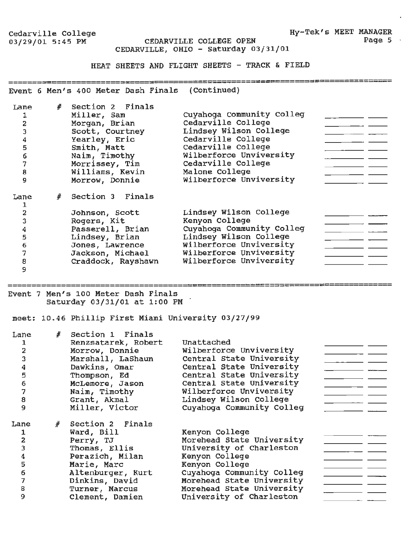Hy-Tek's MEET MANAGER

-##¤¤==============================

CEDARVILLE COLLEGE OPEN CEDARVILLE, OHIO - Saturday 03/31/01

HEAT SHEETS AND FLIGHT SHEETS - TRACK & FIELD

Event 6 Men's 400 Meter Dash Finals (Continued)

| Lane<br>2<br>3<br>4<br>5<br>6<br>7<br>8<br>9 | # | Section 2 Finals<br>Miller, Sam<br>Morgan, Brian<br>Scott, Courtney<br>Yearley, Eric<br>Smith, Matt<br>Naim, Timothy<br>Morrissey, Tim<br>Williams, Kevin<br>Morrow, Donnie | Cuyahoga Community Colleg<br>Cedarville College<br>Lindsey Wilson College<br>Cedarville College<br>Cedarville College<br>Wilberforce Unviversity<br>Cedarville College<br>Malone College<br>Wilberforce Unviversity |
|----------------------------------------------|---|-----------------------------------------------------------------------------------------------------------------------------------------------------------------------------|---------------------------------------------------------------------------------------------------------------------------------------------------------------------------------------------------------------------|
| Lane                                         |   | Section 3 Finals                                                                                                                                                            |                                                                                                                                                                                                                     |
| 2                                            |   | Johnson, Scott                                                                                                                                                              | Lindsey Wilson College                                                                                                                                                                                              |
| 3                                            |   | Rogers, Kit                                                                                                                                                                 | Kenyon College                                                                                                                                                                                                      |
| 4                                            |   | Passerell, Brian                                                                                                                                                            | Cuyahoqa Community Colleg                                                                                                                                                                                           |
| 5                                            |   | Lindsey, Brian                                                                                                                                                              | Lindsey Wilson College                                                                                                                                                                                              |
| 6                                            |   | Jones, Lawrence                                                                                                                                                             | Wilberforce Unviversity                                                                                                                                                                                             |
| 7                                            |   | Jackson, Michael                                                                                                                                                            | Wilberforce Unviversity                                                                                                                                                                                             |
| 8                                            |   | Craddock, Rayshawn                                                                                                                                                          | Wilberforce Unviversity                                                                                                                                                                                             |
| 9                                            |   |                                                                                                                                                                             |                                                                                                                                                                                                                     |

Event 7 Men's 100 Meter Dash Finals Saturday 03/31/01 at 1:00 PM

meet: 10.46 Phillip First Miami University 03/27/99

| Lane<br>2<br>3<br>4<br>5<br>$\mathbf 6$<br>7<br>8<br>9 | # Section 1 Finals<br>Renzsatarek, Robert<br>Morrow, Donnie<br>Marshall, LaShaun<br>Dawkins, Omar<br>Thompson, Ed<br>McLemore, Jason<br>Naim, Timothy<br>Grant, Akmal<br>Miller, Victor | Unattached<br>Wilberforce Unviversity<br>Central State University<br>Central State University<br>Central State University<br>Central State University<br>Wilberforce Unviversity<br>Lindsey Wilson College<br>Cuyahoqa Community Colleg |  |
|--------------------------------------------------------|-----------------------------------------------------------------------------------------------------------------------------------------------------------------------------------------|-----------------------------------------------------------------------------------------------------------------------------------------------------------------------------------------------------------------------------------------|--|
| Lane<br>1                                              | # Section 2 Finals<br>Ward, Bill                                                                                                                                                        | Kenyon College                                                                                                                                                                                                                          |  |
| $\overline{\mathbf{z}}$                                | Perry, TJ                                                                                                                                                                               | Morehead State University                                                                                                                                                                                                               |  |
| 3                                                      | Thomas, Ellis<br>Perazich, Milan                                                                                                                                                        | University of Charleston<br>Kenyon College                                                                                                                                                                                              |  |
| 4<br>5                                                 | Marie, Marc                                                                                                                                                                             | Kenyon College                                                                                                                                                                                                                          |  |
| 6                                                      | Altenburger, Kurt                                                                                                                                                                       | Cuyahoga Community Colleg                                                                                                                                                                                                               |  |
| 7                                                      | Dinkins, David                                                                                                                                                                          | Morehead State University                                                                                                                                                                                                               |  |
| 8                                                      | Turner, Marcus                                                                                                                                                                          | Morehead State University                                                                                                                                                                                                               |  |
| 9                                                      | Clement, Damien                                                                                                                                                                         | University of Charleston                                                                                                                                                                                                                |  |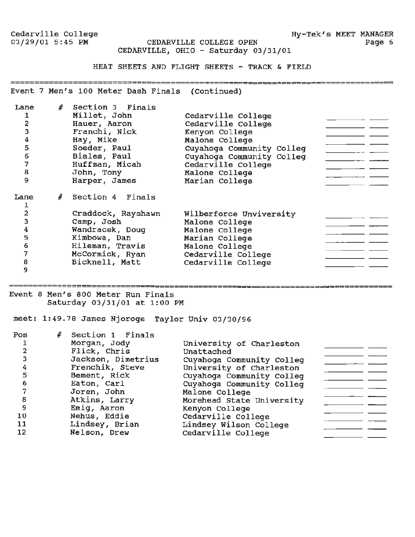#### CEDARVILLE COLLEGE OPEN CEDARVILLE, OHIO - Saturday 03/31/01

#### HEAT SHEETS AND FLIGHT SHEETS - TRACK & FIELD

Event 7 Men's 100 Meter Dash Finals (Continued)

| Lane<br>1<br>$\overline{a}$<br>3<br>4<br>5<br>6<br>$\overline{7}$<br>8<br>9 | # | Section 3 Finals<br>Millet, John<br>Hauer, Aaron<br>Franchi, Nick<br>Hay, Mike<br>Soeder, Paul<br>Biales, Paul<br>Huffman, Micah<br>John, Tony<br>Harper, James | Cedarville College<br>Cedarville College<br>Kenyon College<br>Malone College<br>Cuyahoga Community Colleg<br>Cuyahoqa Community Colleq<br>Cedarville College<br>Malone College<br>Marian College |  |
|-----------------------------------------------------------------------------|---|-----------------------------------------------------------------------------------------------------------------------------------------------------------------|--------------------------------------------------------------------------------------------------------------------------------------------------------------------------------------------------|--|
| Lane<br>1                                                                   | # | Section 4 Finals                                                                                                                                                |                                                                                                                                                                                                  |  |
| $\overline{2}$                                                              |   | Craddock, Rayshawn                                                                                                                                              | Wilberforce Unviversity                                                                                                                                                                          |  |
| 3                                                                           |   | Camp, Josh                                                                                                                                                      | Malone College                                                                                                                                                                                   |  |
| 4                                                                           |   | Wandracek, Doug                                                                                                                                                 | Malone College                                                                                                                                                                                   |  |
| 5                                                                           |   | Kimbowa, Dan                                                                                                                                                    | Marian College                                                                                                                                                                                   |  |
| 6                                                                           |   | Hileman, Travis                                                                                                                                                 | Malone College                                                                                                                                                                                   |  |
| 7                                                                           |   | McCormick, Ryan                                                                                                                                                 | Cedarville College                                                                                                                                                                               |  |
| 8                                                                           |   | Bicknell, Matt                                                                                                                                                  | Cedarville College                                                                                                                                                                               |  |
| 9                                                                           |   |                                                                                                                                                                 |                                                                                                                                                                                                  |  |

Event 8 Men's 800 Meter Run Finals Saturday 03/31/01 at 1:00 PM

meet: 1:49.78 James Njoroge Taylor Univ 03/30/96

| Pos | # Section 1 Finals |                           |  |
|-----|--------------------|---------------------------|--|
|     | Morgan, Jody       | University of Charleston  |  |
| 2   | Flick, Chris       | Unattached                |  |
| 3   | Jackson, Dimetrius | Cuyahoga Community Colleg |  |
| 4   | Frenchik, Steve    | University of Charleston  |  |
| 5   | Bement, Rick       | Cuyahoga Community Colleg |  |
| 6   | Eaton, Carl        | Cuyahoga Community Colleq |  |
| 7   | Joren, John        | Malone College            |  |
| 8   | Atkins, Larry      | Morehead State University |  |
| 9   | Emig, Aaron        | Kenyon College            |  |
| 10  | Nehus, Eddie       | Cedarville College        |  |
| 11  | Lindsey, Brian     | Lindsey Wilson College    |  |
| 12  | Nelson, Drew       | Cedarville College        |  |
|     |                    |                           |  |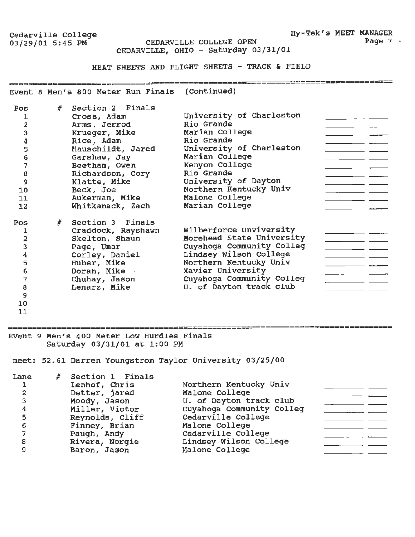Cedarville College Hy-Tek's MEET MANAGER CEDARVILLE COLLEGE OPEN CEDARVILLE, OHIO - Saturday 03/31/01

HEAT SHEETS AND FLIGHT SHEETS - TRACK & FIELD

emperwysependersystemen are continued)<br>Event 8 Men's 800 Meter Run Finals (Continued)

| Pos | $\frac{d}{dt}$ | Section 2 Finals   |                           |
|-----|----------------|--------------------|---------------------------|
|     |                | Cross, Adam        | University of Charleston  |
| 2   |                | Arms, Jerrod       | Rio Grande                |
| 3   |                | Krueger, Mike      | Marian College            |
| 4   |                | Rice, Adam         | Rio Grande                |
| 5   |                | Hauschildt, Jared  | University of Charleston  |
| 6   |                | Garshaw, Jay       | Marian College            |
| 7   |                | Beetham, Owen      | Kenyon College            |
| 8   |                | Richardson, Cory   | Rio Grande                |
| 9   |                | Klatte, Mike       | University of Dayton      |
| 10  |                | Beck, Joe          | Northern Kentucky Univ    |
| 11  |                | Aukerman, Mike     | Malone College            |
| 12  |                | Whitkanack, Zach   | Marian College            |
| Pos |                | # Section 3 Finals |                           |
|     |                | Craddock, Rayshawn | Wilberforce Unviversity   |
| 2   |                | Skelton, Shaun     | Morehead State University |
| 3   |                | Page, Umar         | Cuyahoga Community Colleg |
| 4   |                | Corley, Daniel     | Lindsey Wilson College    |
| 5   |                | Huber, Mike        | Northern Kentucky Univ    |
| 6   |                | Doran, Mike        | Xavier University         |
| 7   |                | Chuhay, Jason      | Cuyahoga Community Colleg |
| 8   |                | Lenarz, Mike       | U. of Dayton track club   |
| 9   |                |                    |                           |

10

11

==========================

Event 9 Men's 400 Meter Low Hurdles Finals Saturday 03/31/01 at 1:00 PM

meet: 52.61 Darren Youngstrom Taylor university 03/25/00

| Lane<br>1<br>$\overline{a}$ | Section 1 Finals<br>Lenhof, Chris<br>Detter, jared<br>Moody, Jason<br>Miller, Victor | Northern Kentucky Univ<br>Malone College<br>U. of Dayton track club<br>Cuyahoqa Community Colleg |  |
|-----------------------------|--------------------------------------------------------------------------------------|--------------------------------------------------------------------------------------------------|--|
| 5<br>6                      | Reynolds, Cliff<br>Finney, Brian                                                     | Cedarville College<br>Malone College                                                             |  |
|                             | Paugh, Andy                                                                          | Cedarville College                                                                               |  |
| 8                           | Rivera, Norgie                                                                       | Lindsey Wilson College                                                                           |  |
|                             | Baron, Jason                                                                         | Malone College                                                                                   |  |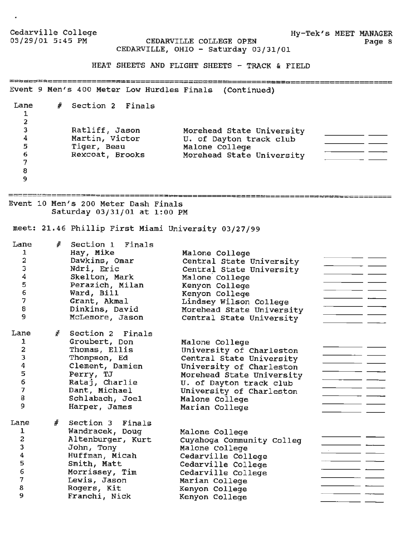**Hy-Tek's MEET MANAGER**  Page 8

CEDARVILLE COLLEGE OPEN CEDARVILLE, OHIO - Saturday 03/31/01

HEAT SHEETS AND FLIGHT SHEETS - TRACK & FIELD

Event 9 Men's 400 Meter Low Hurdles Finals (Continued)

# Section 2 Finals Lane 1 2 Ratliff, Jason Morehead State University 3  $\overline{\phantom{a}}$  and  $\overline{\phantom{a}}$  and  $\overline{\phantom{a}}$ Martin, Victor u. of Dayton track club 4 Tiger, Beau Malone College 5  $\overline{\phantom{a}}$  . The contract of  $\overline{\phantom{a}}$ Morehead State University Rexcoat, Brooks 6  $\frac{1}{2}$ 7 8 9

Event 10 Men's 200 Meter Dash Finals Saturday 03/31/01 at 1:00 PM

meet: 21.46 Phillip First Miami University 03/27/99

| Lane<br>1<br>2<br>3<br>4<br>5<br>6<br>7<br>8<br>9 | # | Section 1 Finals<br>Hay, Mike<br>Dawkins, Omar<br>Ndri, Eric<br>Skelton, Mark<br>Perazich, Milan<br>Ward, Bill<br>Grant, Akmal<br>Dinkins, David<br>McLemore, Jason       | Malone College<br>Central State University<br>Central State University<br>Malone College<br>Kenyon College<br>Kenyon College<br>Lindsey Wilson College<br>Morehead State University<br>Central State University            |  |
|---------------------------------------------------|---|---------------------------------------------------------------------------------------------------------------------------------------------------------------------------|----------------------------------------------------------------------------------------------------------------------------------------------------------------------------------------------------------------------------|--|
| Lane<br>1<br>2<br>3<br>4<br>5<br>6<br>7<br>8<br>9 | # | Section 2 Finals<br>Groubert, Don<br>Thomas, Ellis<br>Thompson, Ed<br>Clement, Damien<br>Perry, TJ<br>Rataj, Charlie<br>Dant, Michael<br>Schlabach, Joel<br>Harper, James | Malone College<br>University of Charleston<br>Central State University<br>University of Charleston<br>Morehead State University<br>U. of Dayton track club<br>University of Charleston<br>Malone College<br>Marian College |  |
| Lane<br>1<br>2<br>3<br>4<br>5<br>6<br>7<br>8<br>9 | # | Section 3 Finals<br>Wandracek, Doug<br>Altenburger, Kurt<br>John, Tony<br>Huffman, Micah<br>Smith, Matt<br>Morrissey, Tim<br>Lewis, Jason<br>Rogers, Kit<br>Franchi, Nick | Malone College<br>Cuyahoga Community Colleg<br>Malone College<br>Cedarville College<br>Cedarville College<br>Cedarville College<br>Marian College<br>Kenyon College<br>Kenyon College                                      |  |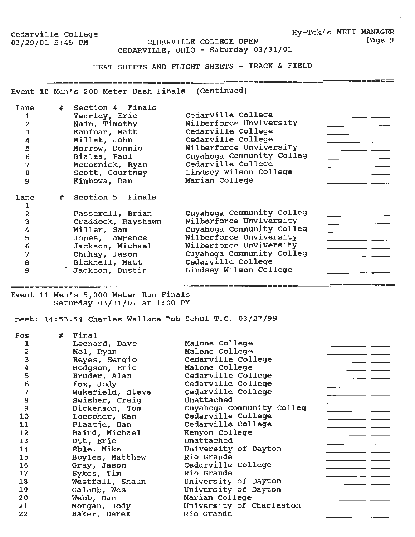Hy-Tek's MEET MANAGER Page 9

Cedarville College<br>03/29/01 5:45 PM

CEDARVILLE COLLEGE OPEN CEDARVILLE, OHIO - Saturday 03/31/01

HEAT SHEETS AND FLIGHT SHEETS - TRACK & FIELD

Event 10 Men's 200 Meter Dash Finals (Continued)

| Lane<br>2<br>3<br>4<br>5<br>6<br>7<br>8<br>9 | # | Section 4 Finals<br>Yearley, Eric<br>Naim, Timothy<br>Kaufman, Matt<br>Millet, John<br>Morrow, Donnie<br>Biales, Paul<br>McCormick, Ryan<br>Scott, Courtney<br>Kimbowa, Dan | Cedarville College<br>Wilberforce Unviversity<br>Cedarville College<br>Cedarville College<br>Wilberforce Unviversity<br>Cuyahoqa Community Colleg<br>Cedarville College<br>Lindsey Wilson College<br>Marian College |
|----------------------------------------------|---|-----------------------------------------------------------------------------------------------------------------------------------------------------------------------------|---------------------------------------------------------------------------------------------------------------------------------------------------------------------------------------------------------------------|
| Lane                                         |   | Section 5 Finals                                                                                                                                                            |                                                                                                                                                                                                                     |
| 2                                            |   | Passerell, Brian                                                                                                                                                            | Cuyahoga Community Colleg                                                                                                                                                                                           |
| 3                                            |   | Craddock, Rayshawn                                                                                                                                                          | Wilberforce Unviversity                                                                                                                                                                                             |
| 4                                            |   | Miller, Sam                                                                                                                                                                 | Cuyahoga Community Colleg                                                                                                                                                                                           |
| 5                                            |   | Jones, Lawrence                                                                                                                                                             | Wilberforce Unviversity                                                                                                                                                                                             |
| 6                                            |   | Jackson, Michael                                                                                                                                                            | Wilberforce Unviversity                                                                                                                                                                                             |
| 7                                            |   | Chuhay, Jason                                                                                                                                                               | Cuyahoga Community Colleg                                                                                                                                                                                           |
| 8                                            |   | Bicknell, Matt                                                                                                                                                              | Cedarville College                                                                                                                                                                                                  |
| 9                                            |   | <b>Jackson, Dustin</b>                                                                                                                                                      | Lindsey Wilson College                                                                                                                                                                                              |

Event 11 Men's 5,000 Meter Run Finals Saturday 03/31/01 at 1:00 PM

meet: 14:53.54 Charles Wallace Bob Schul T.C. 03/27/99

| Pos | # | Final            |                           |
|-----|---|------------------|---------------------------|
| 1   |   | Leonard, Dave    | Malone College            |
| 2   |   | Mol, Ryan        | Malone College            |
| 3   |   | Reyes, Sergio    | Cedarville College        |
| 4   |   | Hodgson, Eric    | Malone College            |
| 5   |   | Bruder, Alan     | Cedarville College        |
| 6   |   | Fox, Jody        | Cedarville College        |
| 7   |   | Wakefield, Steve | Cedarville College        |
| 8   |   | Swisher, Craig   | Unattached                |
| 9   |   | Dickenson, Tom   | Cuyahoga Community Colleg |
| 10  |   | Loescher, Ken    | Cedarville College        |
| 11  |   | Plaatje, Dan     | Cedarville College        |
| 12  |   | Baird, Michael   | Kenyon College            |
| 13  |   | Ott, Eric        | Unattached                |
| 14  |   | Eble, Mike       | University of Dayton      |
| 15  |   | Boyles, Matthew  | Rio Grande                |
| 16  |   | Gray, Jason      | Cedarville College        |
| 17  |   | Sykes, Tim       | Rio Grande                |
| 18  |   | Westfall, Shaun  | University of Dayton      |
| 19  |   | Galamb, Wes      | University of Dayton      |
| 20  |   | Webb, Dan        | Marian College            |
| 21  |   | Morgan, Jody     | University of Charleston  |
| 22  |   | Baker, Derek     | Rio Grande                |
|     |   |                  |                           |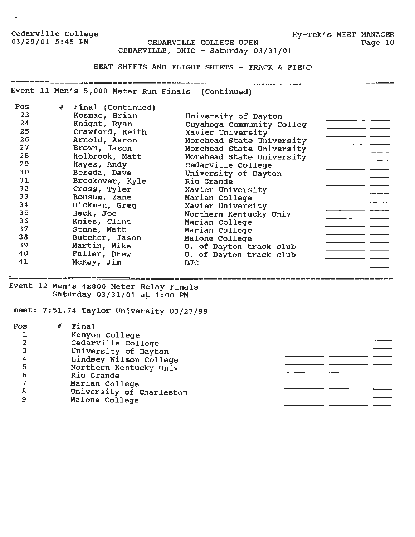$\ddot{\phantom{1}}$ 

Hy-Tek's MEET MANAGER Page 10

CEDARVILLE COLLEGE OPEN CEDARVILLE, OHIO - Saturday 03/31/01

HEAT SHEETS AND FLIGHT SHEETS - TRACK & FIELD

Event 11 Men's 5,000 Meter Run Finals (Continued)

| Pos | # | Final (Continued)                                                                                                                                         |                           |  |
|-----|---|-----------------------------------------------------------------------------------------------------------------------------------------------------------|---------------------------|--|
| 23  |   | Kosmac, Brian                                                                                                                                             | University of Dayton      |  |
| 24  |   | Knight, Ryan                                                                                                                                              | Cuyahoga Community Colleg |  |
| 25  |   | Crawford, Keith                                                                                                                                           | Xavier University         |  |
| 26  |   | Arnold, Aaron                                                                                                                                             | Morehead State University |  |
| 27  |   | Brown, Jason                                                                                                                                              | Morehead State University |  |
| 28  |   | Holbrook, Matt                                                                                                                                            | Morehead State University |  |
| 29  |   | Hayes, Andy                                                                                                                                               | Cedarville College        |  |
| 30  |   | Bereda, Dave                                                                                                                                              | University of Dayton      |  |
| 31  |   | Brookover, Kyle                                                                                                                                           | Rio Grande                |  |
| 32  |   | Cross, Tyler                                                                                                                                              | Xavier University         |  |
| 33  |   | Bousum, Zane                                                                                                                                              | Marian College            |  |
| 34  |   | Dickman, Greg                                                                                                                                             | Xavier University         |  |
| 35  |   | Beck, Joe                                                                                                                                                 | Northern Kentucky Univ    |  |
| 36  |   | Knies, Clint                                                                                                                                              | Marian College            |  |
| 37  |   | Stone, Matt                                                                                                                                               | Marian College            |  |
| 38  |   | Butcher, Jason                                                                                                                                            | Malone College            |  |
| 39  |   | Martin, Mike                                                                                                                                              | U. of Dayton track club   |  |
| 40  |   | Fuller, Drew                                                                                                                                              | U. of Dayton track club   |  |
| 41  |   | McKay, Jim                                                                                                                                                | DJC.                      |  |
|     |   |                                                                                                                                                           |                           |  |
|     |   | Event 12 Men's 4x800 Meter Relay Finals<br>$\mathcal{L} = \mathcal{L}$ . The set of $\mathcal{L} = \mathcal{L}$ is the set of $\mathcal{L} = \mathcal{L}$ |                           |  |

Saturday 03/31/01 at 1:00 PM

meet: 7:51.74 Taylor University 03/27/99

| Pos | Final                    |
|-----|--------------------------|
| 1   | Kenyon College           |
| 2   | Cedarville College       |
| 3   | University of Dayton     |
| 4   | Lindsey Wilson College   |
| 5   | Northern Kentucky Univ   |
| 6   | Rio Grande               |
| 7   | Marian College           |
| 8   | University of Charleston |
| 9   | Malone College           |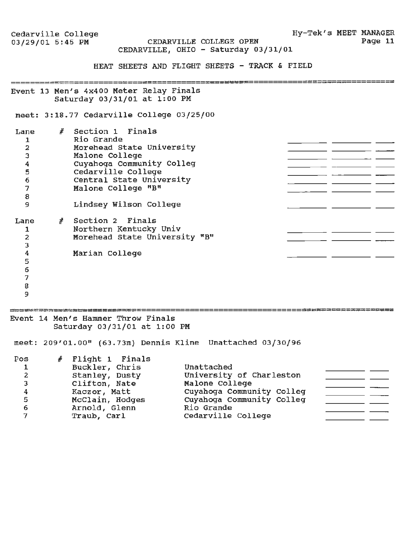Cedarville College<br>03/29/01 5:45 PM

CEDARVILLE COLLEGE OPEN CEDARVILLE, OHIO - Saturday 03/31/01

HEAT SHEETS AND FLIGHT SHEETS - TRACK & FIELD

Event 13 Men's 4x400 Meter Relay Finals Saturday 03/31/01 at 1:00 PM

meet: 3:18.77 Cedarville College 03/25/00

| Lane<br>2<br>4<br>5<br>6<br>8<br>9 | # | Section 1 Finals<br>Rio Grande<br>Morehead State University<br>Malone College<br>Cuyahoga Community Colleg<br>Cedarville College<br>Central State University<br>Malone College "B"<br>Lindsey Wilson College |  |  |
|------------------------------------|---|--------------------------------------------------------------------------------------------------------------------------------------------------------------------------------------------------------------|--|--|
| Lane<br>2<br>5<br>6                |   | # Section 2 Finals<br>Northern Kentucky Univ<br>Morehead State University "B"<br>Marian College                                                                                                              |  |  |

7 8

9

Event 14 Men's Hammer Throw Finals Saturday 03/31/01 at 1:00 PM

ے سے سے جب بعد میر جو ہو ہو ہو ہو ہو اور اس من سن میں بھی ہے اور میں بھی میر کیا کہ ایک ایک میں اپنے

meet: 209'01.00" (63.73m) Dennis Kline Unattached 03/30/96

| Pos<br>1<br>2<br>3<br>4<br>5<br>6 | $#$ Flight 1 Finals<br>Buckler, Chris<br>Stanley, Dusty<br>Clifton, Nate<br>Kaczor, Matt<br>McClain, Hodges<br>Arnold, Glenn | Unattached<br>University of Charleston<br>Malone College<br>Cuyahoqa Community Colleq<br>Cuyahoqa Community Colleq<br>Rio Grande |  |
|-----------------------------------|------------------------------------------------------------------------------------------------------------------------------|----------------------------------------------------------------------------------------------------------------------------------|--|
|                                   | Traub, Carl                                                                                                                  | Cedarville College                                                                                                               |  |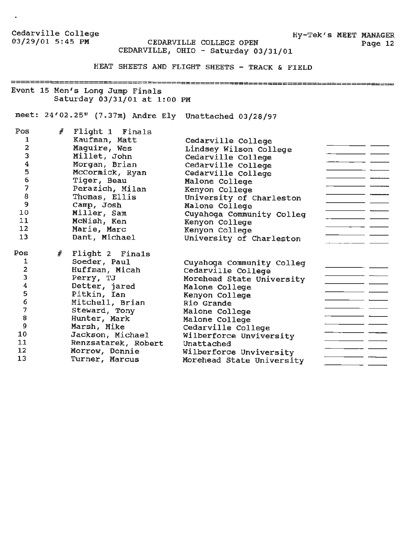$\bullet$ 

CEDARVILLE COLLEGE OPEN CEDARVILLE, OHIO - Saturday 03/31/01

HEAT SHEETS AND FLIGHT SHEETS - TRACK & FIELD

Event 15 Men's Long Jump Finals Saturday 03/31/01 at 1:00 PM

meet: 24'02.25" (7.37m) Andre Ely Unattached 03/28/97

| Pos<br>1<br>2<br>3<br>4<br>5<br>6<br>$\overline{\mathbf{z}}$<br>8<br>9<br>10<br>11<br>12<br>13 | #    | Flight 1 Finals<br>Kaufman, Matt<br>Maguire, Wes<br>Millet, John<br>Morgan, Brian<br>McCormick, Ryan<br>Tiger, Beau<br>Perazich, Milan<br>Thomas, Ellis<br>Camp, Josh<br>Miller, Sam<br>McNish, Ken<br>Marie, Marc<br>Dant, Michael | Cedarville College<br>Lindsey Wilson College<br>Cedarville College<br>Cedarville College<br>Cedarville College<br>Malone College<br>Kenyon College<br>University of Charleston<br>Malone College<br>Cuyahoga Community Colleg<br>Kenyon College<br>Kenyon College<br>University of Charleston |  |
|------------------------------------------------------------------------------------------------|------|-------------------------------------------------------------------------------------------------------------------------------------------------------------------------------------------------------------------------------------|-----------------------------------------------------------------------------------------------------------------------------------------------------------------------------------------------------------------------------------------------------------------------------------------------|--|
| Pos<br>1                                                                                       | $\#$ | Flight 2 Finals<br>Soeder, Paul                                                                                                                                                                                                     | Cuyahoga Community Colleg                                                                                                                                                                                                                                                                     |  |
| 2                                                                                              |      | Huffman, Micah                                                                                                                                                                                                                      | Cedarville College                                                                                                                                                                                                                                                                            |  |
| 3                                                                                              |      | Perry, TJ                                                                                                                                                                                                                           | Morehead State University                                                                                                                                                                                                                                                                     |  |
| 4                                                                                              |      | Detter, jared                                                                                                                                                                                                                       | Malone College                                                                                                                                                                                                                                                                                |  |
| 5                                                                                              |      | Pitkin, Ian                                                                                                                                                                                                                         | Kenyon College                                                                                                                                                                                                                                                                                |  |
| 6                                                                                              |      | Mitchell, Brian                                                                                                                                                                                                                     | Rio Grande                                                                                                                                                                                                                                                                                    |  |
| 7                                                                                              |      | Steward, Tony                                                                                                                                                                                                                       | Malone College                                                                                                                                                                                                                                                                                |  |
| 8                                                                                              |      | Hunter, Mark                                                                                                                                                                                                                        | Malone College                                                                                                                                                                                                                                                                                |  |
| 9                                                                                              |      | Marsh, Mike                                                                                                                                                                                                                         | Cedarville College                                                                                                                                                                                                                                                                            |  |
| 10                                                                                             |      | Jackson, Michael                                                                                                                                                                                                                    | Wilberforce Unviversity                                                                                                                                                                                                                                                                       |  |
| 11                                                                                             |      | Renzsatarek, Robert                                                                                                                                                                                                                 | Unattached                                                                                                                                                                                                                                                                                    |  |
| 12                                                                                             |      | Morrow, Donnie                                                                                                                                                                                                                      | Wilberforce Unviversity                                                                                                                                                                                                                                                                       |  |
| 13                                                                                             |      | Turner, Marcus                                                                                                                                                                                                                      | Morehead State University                                                                                                                                                                                                                                                                     |  |

Hy-Tek's MEET MANAGER<br>Page 12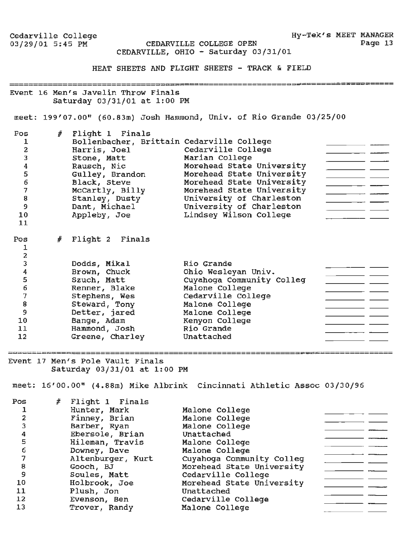Cedarville College<br>03/29/01 5:45 PM CEDARVILLE COLLEGE OPEN Page 13 CEDARVILLE, OHIO - Saturday 03/31/01 HEAT SHEETS AND FLIGHT SHEETS - TRACK & FIELD Event 16 Men's Javelin Throw Finals Saturday 03/31/01 at 1:00 PM meet: 199'07.00" (60.83m) Josh Hammond, Univ. of Rio Grande 03/25/00 Pos *#* Flight 1 Finals Bollenbacher, Brittain Cedarville College 1 Harris, Joel 2 Cedarville College stone, Matt 3 Marian College Rausch, Nie 4 Morehead State University Morehead State University 5 Gulley, Brandon Morehead State University 6 Black, Steve McCartly, Billy Morehead State University 7 University of Charleston Stanley, Dusty 8 University of Charleston Dant, Michael 9 Lindsey Wilson College Appleby, Joe 10 11 # Flight 2 Finals Pos 1 2 3 Dodds, **Mikal**  Rio Grande  $-$ Ohio Wesleyan Univ. Brown, Chuck 4 Cuyahoga Community Colleg Szuch, Matt 5 Malone College 6 Renner, Blake Cedarville College 7 Stephens, Wes Steward, Tony Malone College 8  $\overline{\phantom{a}}$  and  $\overline{\phantom{a}}$  and  $\overline{\phantom{a}}$ Malone College 9 Detter, jared Kenyon College 10 Bange, Adam Rio Grande 11 Hammond, Josh  $\overline{\phantom{a}}$ 12 Greene, Charley Unattached egent in Men's Pole Vault Finals<br>Event 17 Men's Pole Vault Finals Saturday 03/31/01 at 1:00 **PM**  meet: 16'00.00" (4.88m) Mike Albrink Cincinnati Athletic Assoc 03/30/96 Pos *#* Flight 1 Finals 1 Hunter, Mark Malone College Finney, Brian 2 Malone College Barber, Ryan 3 Malone College Unattached 4 Ebersole, Brian 5 Hileman, Travis Malone College  $\overline{\phantom{a}}$  . The contract of  $\overline{\phantom{a}}$ 6 Downey, Dave Malone College Altenburger, Kurt Cuyahoga Community Colleg 7 Morehead State University Gooch, BJ 8 Cedarville College

Morehead State University

Unattached

9 10 Soules, Matt Holbrook, Joe

11 Plush, Jon Plush, Jon<br>Evenson, Ben

12 13

Trover, Randy Unattached<br>Cedarville College Malone College

**Hy-Tek's MEET MANAGER**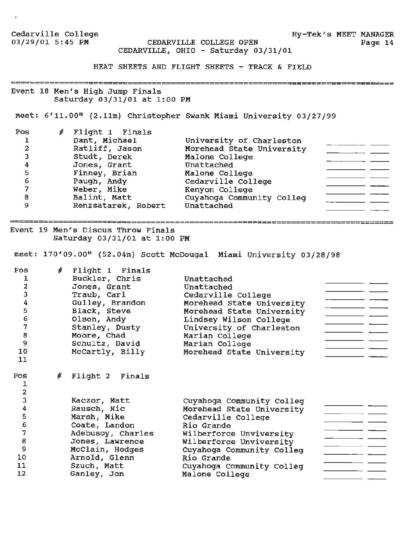Cedarville College<br>03/29/01 5:45 PM Hy-Tek's MEET MANAGER CEDARVILLE COLLEGE OPEN Page 14 CEDARVILLE, OHIO - Saturday 03/31/01 HEAT SHEETS AND FLIGHT SHEETS - TRACK & FIELD Event 18 Men's High Jump Finals Saturday 03/31/01 at 1:00 PM meet: 6'11.00" (2.llm) Christopher Swank Miami University 03/27/99 Pos *#* Flight 1 Finals 1 Dant, Michael University of Charleston <u> 1990 - Johann Barnett, fransk politik</u> 2 Ratliff, Jason Morehead state University  $\overline{\phantom{a}}$   $\overline{\phantom{a}}$   $\overline{\phantom{a}}$ 3 Studt, Derek Malone College 4 Jones, Grant Unattached 5 Finney, Brian Malone College Cedarville College 6 Paugh, **Andy**  Kenyon College 7 Weber, Mike Balint, Matt 8 Cuyahoga Community Colleg  $\overline{a}$  . The contract of  $\overline{a}$ 9 Renzsatarek, Robert Unattached Event 19 Men's Discus Throw Finals Saturday 03/31/01 at 1:00 PM meet: 170'09.00" {52.04m) Scott McDougal Miami University 03/28/98 Pos # Flight 1 Finals Buckler, Chris 1 Unattached 2 Jones, Grant Unattached 3 Traub, Carl Cedarville College Morehead State University 4 Gulley, Brandon Morehead State University Black, Steve 5 Olson, Andy Lindsey Wilson College 6 University of Charleston Stanley, Dusty 7 للبين المست 8 Moore, Chad Marian College Schultz, David 9 Marian College 10 McCartly, Billy Morehead State University 11 Pos *#* Flight 2 Finals 1 2 3 Kaczor, Matt Cuyahoga Community Colleg 4 Rausch, Nie Morehead State University  $\overline{\phantom{a}}$   $\overline{\phantom{a}}$   $\overline{\phantom{a}}$ 5 Marsh, **Mike**  Cedarville College Coate, Landon 6 Rio Grande 7 Adebusoy, Charles Wilberforce Unviversity 8 Jones, Lawrence Wilberforce unviversity Cuyahoga Community Colleg 9 McClain, Hodges Rio Grande Arnold, Glenn 10 11 Szuch, Matt Cuyahoga Community Colleg 12 Ganley, Jon Malone College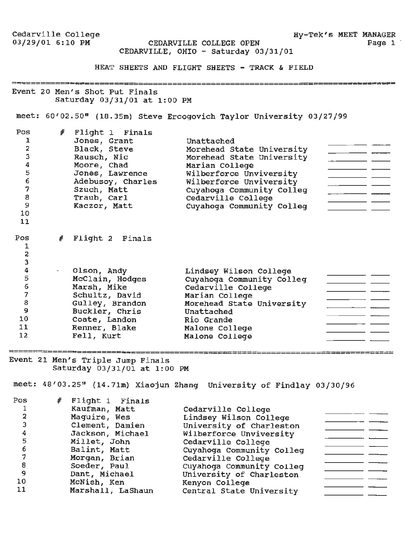**Hy-Tek's MEET MANAGER** 

Page 1

Cedarville College<br>03/29/01 6:10 PM

CEDARVILLE COLLEGE OPEN CEDARVILLE, OHIO - Saturday 03/31/01

HEAT SHEETS AND FLIGHT SHEETS - TRACK & FIELD

Event 20 Men's Shot Put Finals . Saturday 03/31/01 at 1:00 PM

meet: 60'02.50" (18.35m) Steve Ercogovich Taylor University 03/27/99

| Pos<br>1<br>2<br>3<br>4<br>5<br>6<br>7<br>8<br>9<br>10<br>11 | #              | Flight 1 Finals<br>Jones, Grant<br>Black, Steve<br>Rausch, Nic<br>Moore, Chad<br>Jones, Lawrence<br>Adebusoy, Charles<br>Szuch, Matt<br>Traub, Carl<br>Kaczor, Matt | Unattached<br>Morehead State University<br>Morehead State University<br>Marian College<br>Wilberforce Unviversity<br>Wilberforce Unviversity<br>Cuyahoga Community Colleg<br>Cedarville College<br>Cuyahoga Community Colleg |  |
|--------------------------------------------------------------|----------------|---------------------------------------------------------------------------------------------------------------------------------------------------------------------|------------------------------------------------------------------------------------------------------------------------------------------------------------------------------------------------------------------------------|--|
| Pos<br>1<br>$\frac{2}{3}$                                    | $\frac{d}{dt}$ | Flight 2 Finals                                                                                                                                                     |                                                                                                                                                                                                                              |  |
| 4                                                            |                | Olson, Andy                                                                                                                                                         | Lindsey Wilson College                                                                                                                                                                                                       |  |
| 5                                                            |                | McClain, Hodges                                                                                                                                                     | Cuyahoga Community Colleg                                                                                                                                                                                                    |  |
| $\epsilon$                                                   |                | Marsh, Mike                                                                                                                                                         | Cedarville College                                                                                                                                                                                                           |  |
| 7                                                            |                | Schultz, David                                                                                                                                                      | Marian College                                                                                                                                                                                                               |  |
| 8                                                            |                | Gulley, Brandon                                                                                                                                                     | Morehead State University                                                                                                                                                                                                    |  |
| $\overline{9}$                                               |                | Buckler, Chris                                                                                                                                                      | Unattached                                                                                                                                                                                                                   |  |
| 10                                                           |                | Coate, Landon                                                                                                                                                       | Rio Grande                                                                                                                                                                                                                   |  |
| 11                                                           |                | Renner, Blake                                                                                                                                                       | Malone College                                                                                                                                                                                                               |  |
| 12                                                           |                | Fell, Kurt                                                                                                                                                          | Malone College                                                                                                                                                                                                               |  |

Event 21 Men's Triple Jump Finals Saturday 03/31/01 at 1:00 PM

meet: 48'03.25" (14.71m) Xiaojun Zhang University of Findlay 03/30/96

| Pos | # Flight 1 Finals |                           |  |
|-----|-------------------|---------------------------|--|
|     | Kaufman, Matt     | Cedarville College        |  |
|     | Maguire, Wes      | Lindsey Wilson College    |  |
|     | Clement, Damien   | University of Charleston  |  |
|     | Jackson, Michael  | Wilberforce Unviversity   |  |
|     | Millet, John      | Cedarville College        |  |
|     | Balint, Matt      | Cuyahoga Community Colleg |  |
|     | Morgan, Brian     | Cedarville College        |  |
| 8   | Soeder, Paul      | Cuyahoga Community Colleg |  |
| 9   | Dant, Michael     | University of Charleston  |  |
| 10  | McNish, Ken       | Kenyon College            |  |
| -11 | Marshall, LaShaun | Central State University  |  |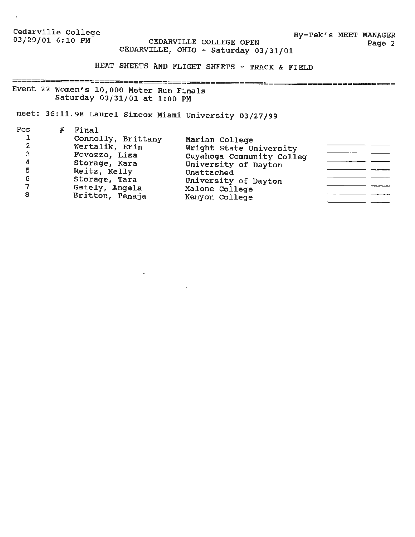Cedarville College 03/29/01 6:10 PM CEDARVILLE COLLEGE OPEN

**Hy-Tek's MEET MANAGER**  Page 2

=-=•====

# CEDARVILLE, OHIO - Saturday 03/31/01

**HEAT SHEETS AND FLIGHT SHEETS** - **TRACK** & **FIELD** 

 Event 22 Women's 10,000 Meter Run Finals Saturday 03/31/01 at 1:00 **PM** 

meet: 36:11.98 Laurel Simcox Miami University 03/27/99

 $\sim$ 

| Marian College<br>Wright State University<br>Cuyahoga Community Colleg<br>University of Dayton<br>Unattached<br>University of Dayton<br>Malone College<br>Kenyon College |
|--------------------------------------------------------------------------------------------------------------------------------------------------------------------------|
|                                                                                                                                                                          |

 $\sim$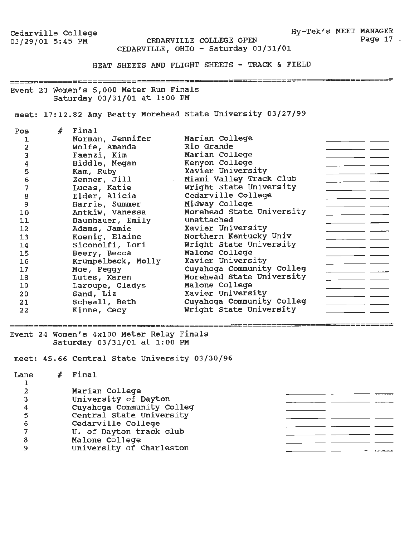Hy-Tek's MEET MANAGER Page 17.

#### CEDARVILLE COLLEGE OPEN CEDARVILLE, OHIO - Saturday 03/31/01

HEAT SHEETS AND FLIGHT SHEETS - TRACK & FIELD

Event 23 Women's 5,000 Meter Run Finals Saturday 03/31/01 at 1:00 PM

meet: 17:12.82 Amy Beatty Morehead state University 03/27/99

| Pos           | $#$ Final          |                           |
|---------------|--------------------|---------------------------|
|               | Norman, Jennifer   | Marian College            |
| 2             | Wolfe, Amanda      | Rio Grande                |
| 3             | Faenzi, Kim        | Marian College            |
|               | Biddle, Megan      | Kenyon College            |
| $\frac{4}{5}$ | Kam, Ruby          | Xavier University         |
| 6             | Zenner, Jill       | Miami Valley Track Club   |
| 7             | Lucas, Katie       | Wright State University   |
| 8             | Elder, Alicia      | Cedarville College        |
| 9             | Harris, Summer     | Midway College            |
| 10            | Antkiw, Vanessa    | Morehead State University |
| 11            | Daunhauer, Emily   | Unattached                |
| 12            | Adams, Jamie       | Xavier University         |
| 13            | Koenig, Elaine     | Northern Kentucky Univ    |
| 14            | Siconolfi, Lori    | Wright State University   |
| 15            | Beery, Becca       | Malone College            |
| 16            | Krumpelbeck, Molly | Xavier University         |
| 17            | Moe, Peggy         | Cuyahoga Community Colleg |
| 18            | Lutes, Karen       | Morehead State University |
| 19            | Laroupe, Gladys    | Malone College            |
| 20            | Sand, Liz          | Xavier University         |
| 21            | Scheall, Beth      | Cuyahoga Community Colleg |
| 22            | Kinne, Cecy        | Wright State University   |
|               |                    |                           |

Event 24 Women's 4XlOO Meter Relay Finals

Saturday 03/31/01 at 1:00 PM

meet: 45.66 Central State University 03/30/96

| Lane | Final                     |  |
|------|---------------------------|--|
|      |                           |  |
|      | Marian College            |  |
|      | University of Dayton      |  |
|      | Cuyahoga Community Colleg |  |
|      | Central State University  |  |
|      | Cedarville College        |  |
|      | U. of Dayton track club   |  |
|      | Malone College            |  |
|      | University of Charleston  |  |
|      |                           |  |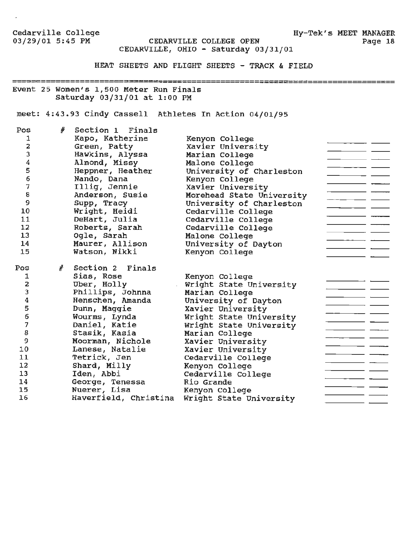CEDARVILLE COLLEGE OPEN CEDARVILLE, OHIO - Saturday 03/31/01

HEAT SHEETS AND FLIGHT SHEETS - TRACK & FIELD

Event 25 Women's 1,500 Meter Run Finals Saturday 03/31/01 at 1:00 PM

meet: 4:43.93 Cindy Cassell Athletes In Action 04/01/95

| Pos | #          | Section 1 Finals      |                           |  |
|-----|------------|-----------------------|---------------------------|--|
| ı   |            | Kapo, Katherine       | Kenyon College            |  |
| 2   |            | Green, Patty          | Xavier University         |  |
| 3   |            | Hawkins, Alyssa       | Marian College            |  |
| 4   |            | Almond, Missy         | Malone College            |  |
| 5   |            | Heppner, Heather      | University of Charleston  |  |
| 6   |            | Nando, Dana           | Kenyon College            |  |
| 7   |            | Illig, Jennie         | Xavier University         |  |
| 8   |            | Anderson, Susie       | Morehead State University |  |
| 9   |            | Supp, Tracy           | University of Charleston  |  |
| 10  |            | Wright, Heidi         | Cedarville College        |  |
| 11  |            | DeHart, Julia         | Cedarville College        |  |
| 12  |            | Roberts, Sarah        | Cedarville College        |  |
| 13  |            | Ogle, Sarah           | Malone College            |  |
| 14  |            | Maurer, Allison       | University of Dayton      |  |
| 15  |            | Watson, Nikki         | Kenyon College            |  |
|     |            |                       |                           |  |
| Pos | $\sqrt{t}$ | Section 2 Finals      |                           |  |
| 1   |            | Sias, Rose            | Kenyon College            |  |
| 2   |            | Uber, Holly           | Wright State University   |  |
| 3   |            | Phillips, Johnna      | Marian College            |  |
| 4   |            | Henschen, Amanda      | University of Dayton      |  |
| 5   |            | Dunn, Maggie          | Xavier University         |  |
| 6   |            | Wourms, Lynda         | Wright State University   |  |
| 7   |            | Daniel, Katie         | Wright State University   |  |
| 8   |            | Stasik, Kasia         | Marian College            |  |
| 9   |            | Moorman, Nichole      | Xavier University         |  |
| 10  |            | Lanese, Natalie       | Xavier University         |  |
| 11  |            | Tetrick, Jen          | Cedarville College        |  |
| 12  |            | Shard, Milly          | Kenyon College            |  |
| 13  |            | Iden, Abbi            | Cedarville College        |  |
| 14  |            | George, Tenessa       | Rio Grande                |  |
| 15  |            | Nuerer, Lisa          | Kenyon College            |  |
| 16  |            | Haverfield, Christina | Wright State University   |  |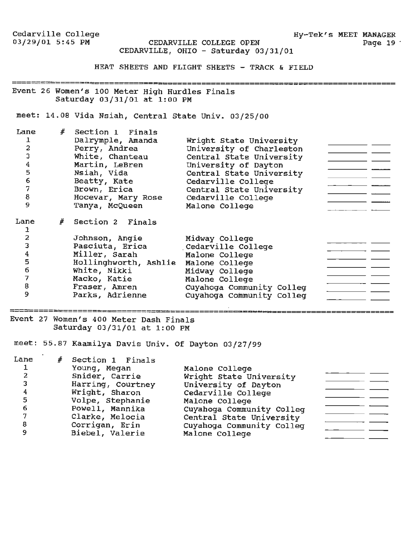CEDARVILLE COLLEGE OPEN CEDARVILLE, OHIO - Saturday 03/31/01

HEAT SHEETS AND FLIGHT SHEETS - TRACK & FIELD

Event 26 Women's 100 Meter High Hurdles Finals Saturday 03/31/01 at 1:00 PM

meet: 14.08 Vida Nsiah, Central State Univ. 03/25/00

| Lane | # | Section 1 Finals                       |                           |  |
|------|---|----------------------------------------|---------------------------|--|
|      |   | Dalrymple, Amanda                      | Wright State University   |  |
|      |   | Perry, Andrea                          | University of Charleston  |  |
|      |   | White, Chanteau                        | Central State University  |  |
|      |   | Martin, LeBren                         | University of Dayton      |  |
| 5    |   | Nsiah, Vida                            | Central State University  |  |
| 6    |   | Beatty, Kate                           | Cedarville College        |  |
| 7    |   | Brown, Erica                           | Central State University  |  |
| 8    |   | Hocevar, Mary Rose                     | Cedarville College        |  |
| 9    |   | Tanya, McQueen                         | Malone College            |  |
| Lane | # | Section 2 Finals                       |                           |  |
|      |   |                                        |                           |  |
|      |   | Johnson, Angie                         | Midway College            |  |
|      |   | Pasciuta, Erica                        | Cedarville College        |  |
|      |   | Miller, Sarah                          | Malone College            |  |
| 5    |   | Hollinghworth, Ashlie                  | Malone College            |  |
| 6    |   | White, Nikki                           | Midway College            |  |
| 7    |   | Macko, Katie                           | Malone College            |  |
| 8    |   | Fraser, Amren                          | Cuyahoga Community Colleg |  |
| 9    |   | Parks, Adrienne                        | Cuyahoga Community Colleg |  |
|      |   |                                        |                           |  |
|      |   | Event 27 Women's 400 Meter Dash Finals |                           |  |

Saturday 03/31/01 at 1:00 PM

meet: 55.87 Kaamilya Davis Univ. Of Dayton 03/27/99

| Lane<br>2<br>3<br>4<br>5<br>6 | Section 1 Finals<br>Young, Megan<br>Snider, Carrie<br>Harring, Courtney<br>Wright, Sharon<br>Volpe, Stephanie<br>Powell, Mannika<br>Clarke, Melocia | Malone College<br>Wright State University<br>University of Dayton<br>Cedarville College<br>Malone College<br>Cuyahoga Community Colleg<br>Central State University |  |
|-------------------------------|-----------------------------------------------------------------------------------------------------------------------------------------------------|--------------------------------------------------------------------------------------------------------------------------------------------------------------------|--|
|                               |                                                                                                                                                     |                                                                                                                                                                    |  |
| 8<br>9                        | Corrigan, Erin<br>Biebel, Valerie                                                                                                                   | Cuyahoga Community Colleg<br>Malone College                                                                                                                        |  |

**Hy-Tek's MEET MANAGER** 

\_\_\_\_\_\_\_\_\_\_\_\_\_\_\_\_\_\_\_\_\_\_\_\_\_\_\_\_\_\_\_\_\_

Page 19 ·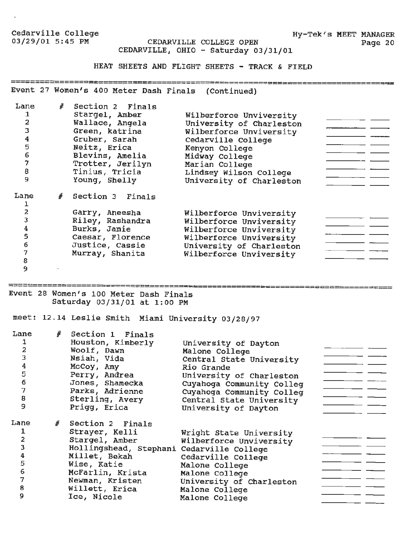CEDARVILLE COLLEGE OPEN Page 20 CEDARVILLE, OHIO - Saturday 03/31/01

HEAT SHEETS AND FLIGHT SHEETS - TRACK & FIELD

Event 27 Women's 400 Meter Dash Finals (Continued)

| Lane<br>ı<br>$\overline{a}$<br>3<br>4<br>5<br>$\epsilon$<br>7<br>$\pmb{8}$<br>9 | # | Section 2 Finals<br>Stargel, Amber<br>Wallace, Angela<br>Green, katrina<br>Gruber, Sarah<br>Neitz, Erica<br>Blevins, Amelia<br>Trotter, Jerilyn<br>Tinius, Tricia<br>Young, Shelly | Wilberforce Unviversity<br>University of Charleston<br>Wilberforce Unviversity<br>Cedarville College<br>Kenyon College<br>Midway College<br>Marian College<br>Lindsey Wilson College<br>University of Charleston |
|---------------------------------------------------------------------------------|---|------------------------------------------------------------------------------------------------------------------------------------------------------------------------------------|------------------------------------------------------------------------------------------------------------------------------------------------------------------------------------------------------------------|
| Lane                                                                            | # | Section 3 Finals                                                                                                                                                                   |                                                                                                                                                                                                                  |
| $\mathbf{2}$                                                                    |   | Garry, Aneesha                                                                                                                                                                     | Wilberforce Unviversity                                                                                                                                                                                          |
| 3                                                                               |   | Riley, Rashandra                                                                                                                                                                   | Wilberforce Unviversity                                                                                                                                                                                          |
| $\bf{4}$                                                                        |   | Burks, Jamie                                                                                                                                                                       | Wilberforce Unviversity                                                                                                                                                                                          |
| $\overline{\mathbf{5}}$                                                         |   | Caesar, Florence                                                                                                                                                                   | Wilberforce Unviversity                                                                                                                                                                                          |
| 6                                                                               |   | Justice, Cassie                                                                                                                                                                    | University of Charleston                                                                                                                                                                                         |
| 7                                                                               |   | Murray, Shanita                                                                                                                                                                    | Wilberforce Unviversity                                                                                                                                                                                          |
| 8                                                                               |   |                                                                                                                                                                                    |                                                                                                                                                                                                                  |
| 9                                                                               |   |                                                                                                                                                                                    |                                                                                                                                                                                                                  |

Event 28 Women's 100 Meter Dash Finals Saturday 03/31/01 at 1:00 PM

meet: 12.14 Leslie Smith Miami University 03/28/97

| Lane<br>2<br>3<br>$\boldsymbol{4}$<br>5<br>6<br>7<br>8<br>9 | # | Section 1 Finals<br>Houston, Kimberly<br>Woolf, Dawn<br>Nsiah, Vida<br>McCoy, Amy<br>Perry, Andrea<br>Jones, Shamecka<br>Parks, Adrienne<br>Sterling, Avery<br>Prigg, Erica | University of Dayton<br>Malone College<br>Central State University<br>Rio Grande<br>University of Charleston<br>Cuyahoga Community Colleg<br>Cuyahoga Community Colleg<br>Central State University<br>University of Dayton |  |
|-------------------------------------------------------------|---|-----------------------------------------------------------------------------------------------------------------------------------------------------------------------------|----------------------------------------------------------------------------------------------------------------------------------------------------------------------------------------------------------------------------|--|
| Lane<br>1                                                   |   | # Section 2 Finals                                                                                                                                                          |                                                                                                                                                                                                                            |  |
|                                                             |   | Strayer, Kelli                                                                                                                                                              | Wright State University                                                                                                                                                                                                    |  |
| 2                                                           |   | Stargel, Amber                                                                                                                                                              | Wilberforce Unviversity                                                                                                                                                                                                    |  |
| 3                                                           |   | Hollingshead, Stephani Cedarville College                                                                                                                                   |                                                                                                                                                                                                                            |  |
| 4                                                           |   | Millet, Bekah                                                                                                                                                               | Cedarville College                                                                                                                                                                                                         |  |
| 5                                                           |   | Wise, Katie                                                                                                                                                                 | Malone College                                                                                                                                                                                                             |  |
| 6                                                           |   | McFarlin, Krista                                                                                                                                                            | Malone College                                                                                                                                                                                                             |  |
| 7                                                           |   | Newman, Kristen                                                                                                                                                             | University of Charleston                                                                                                                                                                                                   |  |
| 8                                                           |   | Willett, Erica                                                                                                                                                              | Malone College                                                                                                                                                                                                             |  |
| 9                                                           |   | Ice, Nicole                                                                                                                                                                 | Malone College                                                                                                                                                                                                             |  |

Hy-Tek's MEET MANAGER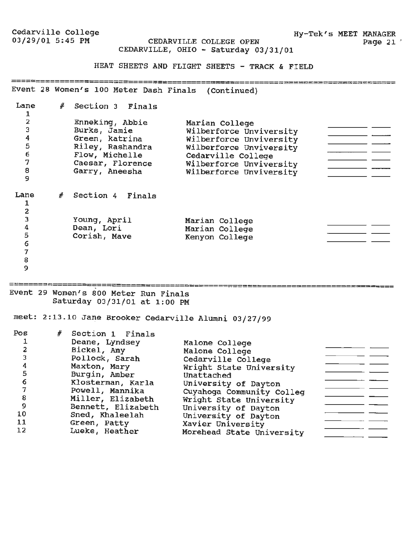Hy-Tek's **MEET** MANAGER Page 21  $^{\prime}$ 

CEDARVILLE COLLEGE OPEN CEDARVILLE, OHIO - Saturday 03/31/01

HEAT SHEETS AND FLIGHT SHEETS - TRACK & FIELD

Event 28 Women's 100 Meter Dash Finals (Continued}

| Lane                   | # | Section 3 Finals |                         |
|------------------------|---|------------------|-------------------------|
| 2                      |   | Enneking, Abbie  | Marian College          |
| 3                      |   | Burks, Jamie     | Wilberforce Unviversity |
| 4                      |   | Green, katrina   | Wilberforce Unviversity |
| 5                      |   | Riley, Rashandra | Wilberforce Unviversity |
| 6                      |   | Flow, Michelle   | Cedarville College      |
| 7                      |   | Caesar, Florence | Wilberforce Unviversity |
| 8                      |   | Garry, Aneesha   | Wilberforce Unviversity |
| 9                      |   |                  |                         |
| Lane<br>$\overline{c}$ | # | Section 4 Finals |                         |
| 3                      |   | Young, April     | Marian College          |
| 4                      |   | Dean, Lori       | Marian College          |
| 5                      |   | Corish, Mave     | Kenyon College          |
| 6                      |   |                  |                         |
| 7                      |   |                  |                         |
| 8                      |   |                  |                         |
| 9                      |   |                  |                         |

.

Event 29 Women's 800 Meter Run Finals Saturday 03/31/01 at 1:00 PM

meet: 2:13.10 Jane Brooker Cedarville Alumni 03/27/99

| Pos | # Section 1 Finals |                           |  |
|-----|--------------------|---------------------------|--|
|     | Deane, Lyndsey     | Malone College            |  |
|     | Bickel, Amy        | Malone College            |  |
| 3   | Pollock, Sarah     | Cedarville College        |  |
| 4   | Maxton, Mary       | Wright State University   |  |
| 5   | Burgin, Amber      | Unattached                |  |
| 6   | Klosterman, Karla  | University of Dayton      |  |
|     | Powell, Mannika    | Cuyahoga Community Colleg |  |
| 8   | Miller, Elizabeth  | Wright State University   |  |
| 9   | Bennett, Elizabeth | University of Dayton      |  |
| 10  | Sned, Khaleelah    | University of Dayton      |  |
| 11  | Green, Patty       | Xavier University         |  |
| 12  | Lueke, Heather     | Morehead State University |  |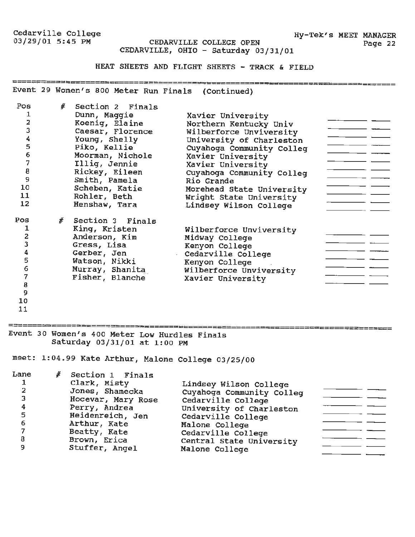CEDARVILLE COLLEGE OPEN CEDARVILLE, OHIO - Saturday 03/31/01

HEAT SHEETS AND FLIGHT SHEETS - TRACK & FIELD

Event 29 Women's 800 Meter Run Finals (Continued)

| Pos<br>2<br>3<br>4<br>5<br>6<br>7<br>8<br>9<br>10 | # | Section 2 Finals<br>Dunn, Maqqie<br>Koenig, Elaine<br>Caesar, Florence<br>Young, Shelly<br>Piko, Kellie<br>Moorman, Nichole<br>Illig, Jennie<br>Rickey, Eileen<br>Smith, Pamela | Xavier University<br>Northern Kentucky Univ<br>Wilberforce Unviversity<br>University of Charleston<br>Cuyahoga Community Colleq<br>Xavier University<br>Xavier University<br>Cuyahoga Community Colleg<br>Rio Grande |
|---------------------------------------------------|---|---------------------------------------------------------------------------------------------------------------------------------------------------------------------------------|----------------------------------------------------------------------------------------------------------------------------------------------------------------------------------------------------------------------|
|                                                   |   | Scheben, Katie                                                                                                                                                                  | Morehead State University                                                                                                                                                                                            |
| 11                                                |   | Rohler, Beth                                                                                                                                                                    | Wright State University                                                                                                                                                                                              |
| 12                                                |   | Henshaw, Tara                                                                                                                                                                   | Lindsey Wilson College                                                                                                                                                                                               |
| Pos                                               |   | # Section 3 Finals                                                                                                                                                              |                                                                                                                                                                                                                      |
|                                                   |   | King, Kristen                                                                                                                                                                   | Wilberforce Unviversity                                                                                                                                                                                              |
| 2                                                 |   | Anderson, Kim                                                                                                                                                                   | Midway College                                                                                                                                                                                                       |
| 3                                                 |   | Gress, Lisa                                                                                                                                                                     | Kenyon College                                                                                                                                                                                                       |
|                                                   |   | Gerber, Jen                                                                                                                                                                     | Cedarville College                                                                                                                                                                                                   |
| 5                                                 |   | Watson, Nikki                                                                                                                                                                   | Kenyon College                                                                                                                                                                                                       |
| 6                                                 |   | Murray, Shanita                                                                                                                                                                 | Wilberforce Unviversity                                                                                                                                                                                              |
|                                                   |   | Fisher, Blanche                                                                                                                                                                 | Xavier University                                                                                                                                                                                                    |
| 8                                                 |   |                                                                                                                                                                                 |                                                                                                                                                                                                                      |

9

10

11

EREERENAMENTERSENDERENDERENDEREN EINER EINER ERREICHERUNG IST WOMEN (S. 400 Meter Low Hurdles Finals Saturday 03/31/01 at 1:00 PM

meet: 1:04.99 Kate Arthur, Malone College 03/25/00

| Lane | # Section 1 Finals |                           |  |
|------|--------------------|---------------------------|--|
|      | Clark, Misty       | Lindsey Wilson College    |  |
|      | Jones, Shamecka    | Cuyahoga Community Colleg |  |
|      | Hocevar, Mary Rose | Cedarville College        |  |
|      | Perry, Andrea      | University of Charleston  |  |
| 5    | Heidenreich, Jen   | Cedarville College        |  |
| 6    | Arthur, Kate       | Malone College            |  |
|      | Beatty, Kate       | Cedarville College        |  |
| 8    | Brown, Erica       | Central State University  |  |
|      | Stuffer, Angel     | Malone College            |  |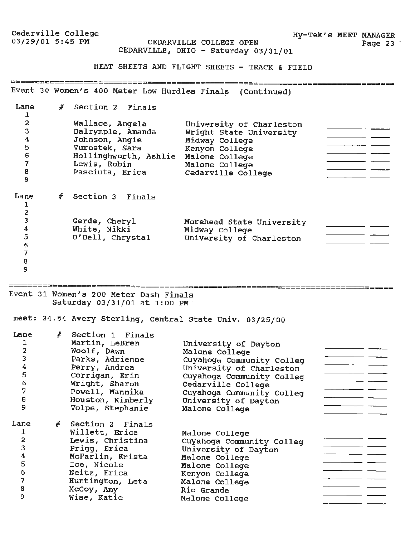**Hy-Tek's MEET MANAGER**  Page 23

03/29/01 5:45 PM **CEDARVILLE COLLEGE OPEN**  CEDARVILLE, **OHIO** - **Saturday** 03/31/01

HEAT SHEETS **AND FLIGHT SHEETS** - **TRACK** & FIELD

Event 30 Women's 400 Meter Low Hurdles Finals (Continued)

| Lane             | # | Section 2 Finals      |                           |  |
|------------------|---|-----------------------|---------------------------|--|
| 2                |   | Wallace, Angela       | University of Charleston  |  |
| 3                |   | Dalrymple, Amanda     | Wright State University   |  |
| $\boldsymbol{4}$ |   | Johnson, Angie        | Midway College            |  |
| 5                |   | Vurostek, Sara        | Kenyon College            |  |
| 6                |   | Hollinghworth, Ashlie | Malone College            |  |
| $\overline{7}$   |   | Lewis, Robin          | Malone College            |  |
| 8                |   | Pasciuta, Erica       | Cedarville College        |  |
| 9                |   |                       |                           |  |
| Lane<br>2        | # | Section 3 Finals      |                           |  |
| 3                |   | Gerde, Cheryl         | Morehead State University |  |
| 4                |   | White, Nikki          | Midway College            |  |
| 5                |   | O'Dell, Chrystal      | University of Charleston  |  |
| 6                |   |                       |                           |  |
| 7                |   |                       |                           |  |
| 8                |   |                       |                           |  |
| 9                |   |                       |                           |  |

Event 31 Women's 200 Meter Dash Finals Saturday 03/31/01 at 1:00 PM.

meet: 24.54 Avery sterling, Central State Univ. 03/25/00

| Lane<br>$\mathbf{2}$<br>3<br>$\boldsymbol{4}$<br>5<br>$\epsilon$<br>7<br>8<br>9 | # | Section 1 Finals<br>Martin, LeBren<br>Woolf, Dawn<br>Parks, Adrienne<br>Perry, Andrea<br>Corrigan, Erin<br>Wright, Sharon<br>Powell, Mannika<br>Houston, Kimberly<br>Volpe, Stephanie | University of Dayton<br>Malone College<br>Cuyahoga Community Colleg<br>University of Charleston<br>Cuyahoga Community Colleg<br>Cedarville College<br>Cuyahoga Community Colleg<br>University of Dayton<br>Malone College |  |
|---------------------------------------------------------------------------------|---|---------------------------------------------------------------------------------------------------------------------------------------------------------------------------------------|---------------------------------------------------------------------------------------------------------------------------------------------------------------------------------------------------------------------------|--|
| Lane                                                                            |   | # Section 2 Finals                                                                                                                                                                    |                                                                                                                                                                                                                           |  |
| $\mathbf 2$                                                                     |   | Willett, Erica<br>Lewis, Christina                                                                                                                                                    | Malone College                                                                                                                                                                                                            |  |
| 3                                                                               |   | Prigg, Erica                                                                                                                                                                          | Cuyahoga Community Colleg                                                                                                                                                                                                 |  |
| 4                                                                               |   | McFarlin, Krista                                                                                                                                                                      | University of Dayton                                                                                                                                                                                                      |  |
| 5                                                                               |   | Ice, Nicole                                                                                                                                                                           | Malone College<br>Malone College                                                                                                                                                                                          |  |
| 6                                                                               |   | Neitz, Erica                                                                                                                                                                          |                                                                                                                                                                                                                           |  |
| 7                                                                               |   | Huntington, Leta                                                                                                                                                                      | Kenyon College<br>Malone College                                                                                                                                                                                          |  |
| 8                                                                               |   | McCoy, Amy                                                                                                                                                                            | Rio Grande                                                                                                                                                                                                                |  |
| 9                                                                               |   | Wise, Katie                                                                                                                                                                           | Malone College                                                                                                                                                                                                            |  |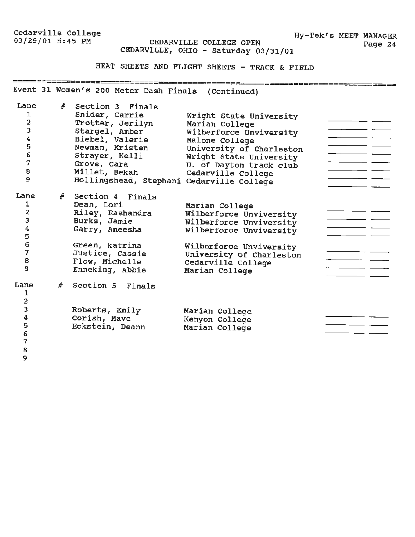**Hy-Tek's MEET** MANAGER CEDARVILLE COLLEGE OPEN Page 24 CEDARVILLE, OHIO - Saturday 03/31/01

HEAT SHEETS AND FLIGHT SHEETS - TRACK & FIELD

Event 31 Women's 200 Meter Dash Finals (Continued)

| Lane<br>1<br>$\mathbf 2$<br>3<br>4<br>5<br>6<br>$\overline{7}$<br>8<br>9 | #              | Section 3 Finals<br>Snider, Carrie<br>Trotter, Jerilyn<br>Stargel, Amber<br>Biebel, Valerie<br>Newman, Kristen<br>Strayer, Kelli<br>Grove, Cara<br>Millet, Bekah<br>Hollingshead, Stephani Cedarville College | Wright State University<br>Marian College<br>Wilberforce Unviversity<br>Malone College<br>University of Charleston<br>Wright State University<br>U. of Dayton track club<br>Cedarville College |  |
|--------------------------------------------------------------------------|----------------|---------------------------------------------------------------------------------------------------------------------------------------------------------------------------------------------------------------|------------------------------------------------------------------------------------------------------------------------------------------------------------------------------------------------|--|
| Lane<br>1<br>2<br>3<br>4<br>5<br>6<br>7<br>8<br>9                        | #              | Section 4 Finals<br>Dean, Lori<br>Riley, Rashandra<br>Burks, Jamie<br>Garry, Aneesha<br>Green, katrina<br>Justice, Cassie<br>Flow, Michelle<br>Enneking, Abbie                                                | Marian College<br>Wilberforce Unviversity<br>Wilberforce Unviversity<br>Wilberforce Unviversity<br>Wilberforce Unviversity<br>University of Charleston<br>Cedarville College<br>Marian College |  |
| Lane<br>1<br>2<br>3<br>4<br>5<br>6<br>7                                  | $\frac{d}{dt}$ | Section 5 Finals<br>Roberts, Emily<br>Corish, Mave<br>Eckstein, Deann                                                                                                                                         | Marian College<br>Kenyon College<br>Marian College                                                                                                                                             |  |

8 9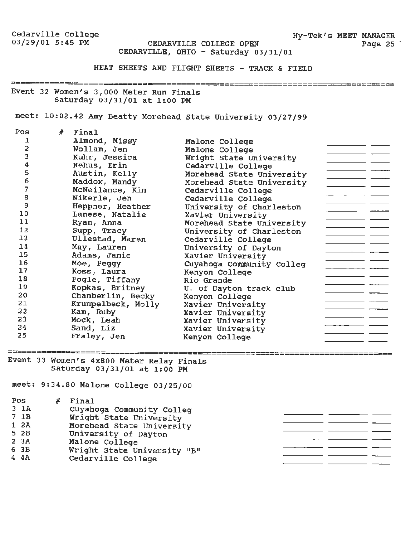≃==≈=======*=*≈≈===

CEDARVILLE COLLEGE OPEN Page 25 CEDARVILLE, OHIO - Saturday 03/31/01

HEAT SHEETS AND FLIGHT SHEETS - TRACK & FIELD

Event 32 Women's 3,000 Meter Run Finals Saturday 03/31/01 at 1:00 PM

meet: 10:02.42 Amy Beatty Morehead state University 03/27/99

| Pos | $#$ Final          |                           |  |
|-----|--------------------|---------------------------|--|
| 1   | Almond, Missy      | Malone College            |  |
| 2   | Wollam, Jen        | Malone College            |  |
| 3   | Kuhr, Jessica      | Wright State University   |  |
| 4   | Nehus, Erin        | Cedarville College        |  |
| 5   | Austin, Kelly      | Morehead State University |  |
| 6   | Maddox, Mandy      | Morehead State University |  |
| 7   | McNeilance, Kim    | Cedarville College        |  |
| 8   | Nikerle, Jen       | Cedarville College        |  |
| 9   | Heppner, Heather   | University of Charleston  |  |
| 10  | Lanese, Natalie    | Xavier University         |  |
| 11  | Ryan, Anna         | Morehead State University |  |
| 12  | Supp, Tracy        | University of Charleston  |  |
| 13  | Ullestad, Maren    | Cedarville College        |  |
| 14  | May, Lauren        | University of Dayton      |  |
| 15  | Adams, Jamie       | Xavier University         |  |
| 16  | Moe, Peggy         | Cuyahoga Community Colleg |  |
| 17  | Koss, Laura        | Kenyon College            |  |
| 18  | Fogle, Tiffany     | Rio Grande                |  |
| 19  | Kopkas, Britney    | U. of Dayton track club   |  |
| 20  | Chamberlin, Becky  | Kenyon College            |  |
| 21  | Krumpelbeck, Molly | Xavier University         |  |
| 22  | Kam, Ruby          | Xavier University         |  |
| 23  | Mock, Leah         | Xavier University         |  |
| 24  | Sand, Liz          | Xavier University         |  |
| 25  | Fraley, Jen        | Kenyon College            |  |
|     |                    |                           |  |

Event 33 Women's 4x800 Meter Relay Finals Saturday 03/31/01 at 1:00 PM

meet: 9:34.80 Malone College 03/25/00

| Pos             | Final                       |  |
|-----------------|-----------------------------|--|
| 3 <sub>1A</sub> | Cuyahoga Community Colleg   |  |
| 7 1B            | Wright State University     |  |
| 1 2A            | Morehead State University   |  |
| 5 2B            | University of Dayton        |  |
| 2 <sub>3A</sub> | Malone College              |  |
| 63B             | Wright State University "B" |  |
| 4 4 A           | Cedarville College          |  |

Hy-Tek's MEET MANAGER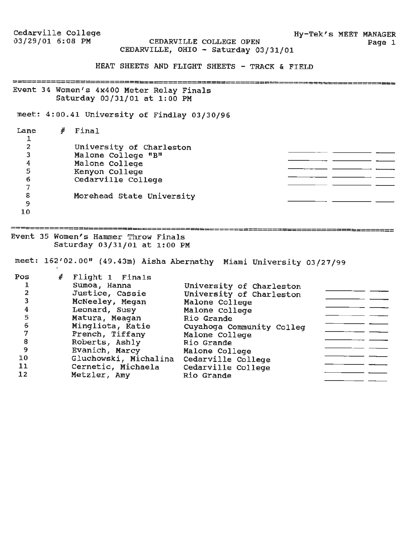Cedarville College<br>03/29/01 6:08 PM Hy-Tek's MEET MANAGER<br>Page 1 CEDARVILLE COLLEGE OPEN CEDARVILLE, OHIO - Saturday 03/31/01 HEAT SHEETS AND FLIGHT SHEETS - TRACK & FIELD Event 34 Women's 4x400 Meter Relay Finals<br>Event 34 Women's 4x400 Meter Relay Finals Saturday 03/31/01 at 1:00 PM meet: 4:00.41 University of Findlay 03/30/96 # Final Lane 1 2 University of Charleston 3 Malone College "B" 4 Malone College 5 Kenyon College 6 Cedarville College 7 8 Morehead State University  $\overline{a}$   $\overline{a}$ 9 10 Event 35 Women's Hammer Throw Finals Saturday 03/31/01 at 1:00 PM meet: 162'02.00" (49.43m) Aisha Abernathy Miami University 03/27/99 Pos *#* Flight 1 rinals 1 Sumoa, Hanna University of Charleston 2 Justice, Cassie University of Charleston McNeeley, Megan Malone College 3 Malone College 4 Leonard, Susy Rio Grande 5 Matura, Meagan Mingliota, Katie Cuyahoga Community Colleg 6 Malone College 7 French, Tiffany \_\_\_\_\_\_ 8 Rio Grande Roberts, Ashly Evanich, Marcy Malone College 9

10 11 12

Gluchowski, Michalina

Metzler, Amy

Cernetic, Michaela Cedarville College

Cedarville College

 $\overline{\phantom{a}}$  and  $\overline{\phantom{a}}$ 

Rio Grande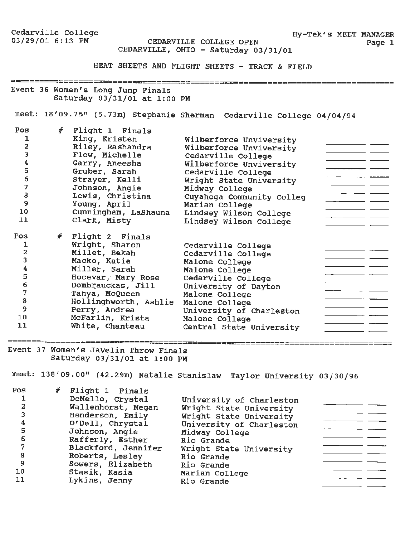**Hy-Tek's MEET MANAGER**  Page 1

CEDARVILLE COLLEGE OPEN CEDARVILLE, OHIO - Saturday 03/31/01

**HEAT SHEETS AND FLIGHT SHEETS** - **TRACK** & **FIELD** 

Event 36 Women's Long Jump Finals Saturday 03/31/01 at 1:00 PM

meet: 18'09.75" (5.73m) Stephanie Sherman Cedarville College 04/04/94

| Pos<br>1<br>2<br>3<br>$\overline{4}$<br>5<br>6<br>7<br>8<br>9<br>10<br>11 | # | Flight 1 Finals<br>King, Kristen<br>Riley, Rashandra<br>Flow, Michelle<br>Garry, Aneesha<br>Gruber, Sarah<br>Strayer, Kelli<br>Johnson, Angie<br>Lewis, Christina<br>Young, April<br>Cunningham, LaShauna<br>Clark, Misty | Wilberforce Unviversity<br>Wilberforce Unviversity<br>Cedarville College<br>Wilberforce Unviversity<br>Cedarville College<br>Wright State University<br>Midway College<br>Cuyahoga Community Colleg<br>Marian College<br>Lindsey Wilson College<br>Lindsey Wilson College |  |
|---------------------------------------------------------------------------|---|---------------------------------------------------------------------------------------------------------------------------------------------------------------------------------------------------------------------------|---------------------------------------------------------------------------------------------------------------------------------------------------------------------------------------------------------------------------------------------------------------------------|--|
| Pos<br>1<br>2<br>3<br>4<br>5                                              |   | $#$ Flight 2 Finals<br>Wright, Sharon<br>Millet, Bekah<br>Macko, Katie<br>Miller, Sarah<br>Hocevar, Mary Rose                                                                                                             | Cedarville College<br>Cedarville College<br>Malone College<br>Malone College<br>Cedarville College                                                                                                                                                                        |  |
| 6<br>7<br>8<br>9<br>10<br>11                                              |   | Dombrauckas, Jill<br>Tanya, McQueen<br>Hollinghworth, Ashlie<br>Perry, Andrea<br>McFarlin, Krista<br>White, Chanteau                                                                                                      | University of Dayton<br>Malone College<br>Malone College<br>University of Charleston<br>Malone College<br>Central State University                                                                                                                                        |  |

Event 37 Women's Javelin Throw Finals Saturday 03/31/01 at 1:00 PM

=============

meet: 138'09.00" (42.29m) Natalie Stanislaw Taylor University 03/30/96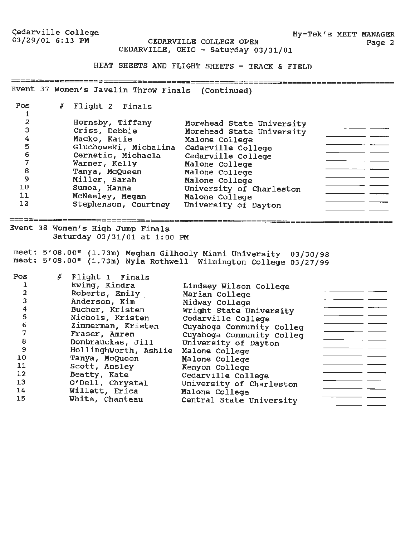Gedarville College<br>03/29/01 6:13 PM

Hy-Tek's MEET MANAGER Page 2

CEDARVILLE COLLEGE OPEN CEDARVILLE, OHIO - Saturday 03/31/01

HEAT SHEETS AND FLIGHT SHEETS - TRACK & FIELD

Event 37 Women's Javelin Throw Finals (Continued)

Pos *#* Flight 2 Finals 1 Hornsby, Tiffany Morehead State University 2  $\overline{\phantom{a}}$   $\overline{\phantom{a}}$ Criss, Debbie Morehead state University 3 Macko, Katie 4 Malone College 5 Gluchowski, Michalina Cedarville College Cernetic, Michaela 6 Cedarville College  $\overline{\phantom{a}}$  and  $\overline{\phantom{a}}$  and  $\overline{\phantom{a}}$ Warner, Kelly 7 Malone College Tanya, McQueen Malone College 8 Miller, Sarah 9 Malone College University of Charleston 10 Sumoa, Hanna  $\frac{1}{2} \left( \frac{1}{2} \frac{1}{2} \frac{1}{2} \frac{1}{2} \frac{1}{2} \frac{1}{2} \frac{1}{2} \frac{1}{2} \frac{1}{2} \frac{1}{2} \frac{1}{2} \frac{1}{2} \frac{1}{2} \frac{1}{2} \frac{1}{2} \frac{1}{2} \frac{1}{2} \frac{1}{2} \frac{1}{2} \frac{1}{2} \frac{1}{2} \frac{1}{2} \frac{1}{2} \frac{1}{2} \frac{1}{2} \frac{1}{2} \frac{1}{2} \frac{1}{2} \frac{1}{2} \frac{1}{2}$ McNeeley, Megan Malone College 11 Stephenson, Courtney University of Dayton 12 Event 38 Women's High Jump Finals Saturday 03/31/01 at 1:00 PM

meet: 5'08.00" (1.73m) Meghan Gilhooly Miami University 03/30/98 meet: 5'08.00" (1.73m) Nyla Rothwell Wilmington College 03/27/99

| Pos | # Flight 1 Finals<br>Ewing, Kindra | Lindsey Wilson College    |  |
|-----|------------------------------------|---------------------------|--|
|     | Roberts, Emily                     | Marian College            |  |
|     | Anderson, Kim                      | Midway College            |  |
|     | Bucher, Kristen                    | Wright State University   |  |
| 5   | Nichols, Kristen                   | Cedarville College        |  |
| 6   | Zimmerman, Kristen                 | Cuyahoga Community Colleq |  |
|     | Fraser, Amren                      | Cuyahoga Community Colleg |  |
| 8   | Dombrauckas, Jill                  | University of Dayton      |  |
| 9   | Hollinghworth, Ashlie              | Malone College            |  |
| 10  | Tanya, McQueen                     | Malone College            |  |
| 11  | Scott, Ansley                      | Kenyon College            |  |
| 12  | Beatty, Kate                       | Cedarville College        |  |
| 13  | O'Dell, Chrystal                   | University of Charleston  |  |
| 14  | Willett, Erica                     | Malone College            |  |
| 15  | White, Chanteau                    | Central State University  |  |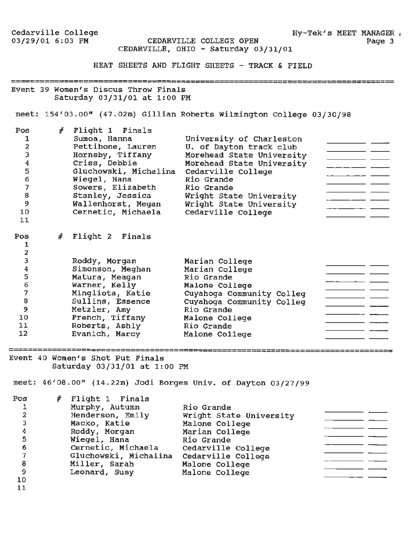Cedarville College 03/29/01 6:03 PM

CEDARVILLE COLLEGE OPEN Page 3 CEDARVILLE, OHIO - Saturday 03/31/01

Hy-Tek's MEET MANAGER  $\phi$ 

HEAT SHEETS AND FLIGHT SHEETS - TRACK & FIELD

Event 39 Women's Discus Throw Finals Saturday 03/31/01 at 1:00 PM

meet: 154'03.00" {47.02m) Gillian Roberts Wilmington College 03/30/98

| Pos<br>1<br>$\mathbf 2$<br>3<br>$\overline{\mathbf{4}}$<br>5<br>$\epsilon$<br>$\overline{\phantom{a}}$<br>8<br>9<br>10<br>11 | # | Flight 1 Finals<br>Sumoa, Hanna<br>Pettibone, Lauren<br>Hornsby, Tiffany<br>Criss, Debbie<br>Gluchowski, Michalina<br>Wiegel, Hana<br>Sowers, Elizabeth<br>Stanley, Jessica<br>Wallenhorst, Megan<br>Cernetic, Michaela | University of Charleston<br>U. of Dayton track club<br>Morehead State University<br>Morehead State University<br>Cedarville College<br>Rio Grande<br>Rio Grande<br>Wright State University<br>Wright State University<br>Cedarville College |  |
|------------------------------------------------------------------------------------------------------------------------------|---|-------------------------------------------------------------------------------------------------------------------------------------------------------------------------------------------------------------------------|---------------------------------------------------------------------------------------------------------------------------------------------------------------------------------------------------------------------------------------------|--|
| Pos<br>1<br>2                                                                                                                |   | $#$ Flight 2 Finals                                                                                                                                                                                                     |                                                                                                                                                                                                                                             |  |
| 3                                                                                                                            |   | Roddy, Morgan                                                                                                                                                                                                           | Marian College                                                                                                                                                                                                                              |  |
|                                                                                                                              |   | Simonson, Meghan                                                                                                                                                                                                        | Marian College                                                                                                                                                                                                                              |  |
| $\frac{4}{5}$                                                                                                                |   | Matura, Meagan                                                                                                                                                                                                          | Rio Grande                                                                                                                                                                                                                                  |  |
| $\epsilon$                                                                                                                   |   | Warner, Kelly                                                                                                                                                                                                           | Malone College                                                                                                                                                                                                                              |  |
| 7                                                                                                                            |   | Mingliota, Katie                                                                                                                                                                                                        | Cuyahoga Community Colleg                                                                                                                                                                                                                   |  |
| 8                                                                                                                            |   | Sullins, Essence                                                                                                                                                                                                        | Cuyahoga Community Colleg                                                                                                                                                                                                                   |  |
| 9                                                                                                                            |   | Metzler, Amy                                                                                                                                                                                                            | Rio Grande                                                                                                                                                                                                                                  |  |
| 10                                                                                                                           |   | French, Tiffany                                                                                                                                                                                                         | Malone College                                                                                                                                                                                                                              |  |
| 11                                                                                                                           |   | Roberts, Ashly                                                                                                                                                                                                          | Rio Grande                                                                                                                                                                                                                                  |  |
| 12                                                                                                                           |   | Evanich, Marcy                                                                                                                                                                                                          | Malone College                                                                                                                                                                                                                              |  |

Event 40 Women's Shot Put Finals Saturday 03/31/01 at 1:00 PM

meet: 46'08.00" (14.22m) Jodi Borges Univ. of Dayton 03/27/99

Pos # Flight 1 Finals Murphy, Autumn Rio Grande 1 Wright State University Henderson, Emily 2  $\overline{\phantom{a}}$  and  $\overline{\phantom{a}}$  and  $\overline{\phantom{a}}$ Macko, Katie Malone College 3  $\overline{\phantom{a}}$  . Marian College Roddy, Morgan 4 Wiegel, Hana Rio Grande 5 Cernetic, Michaela Cedarville College 6  $\overline{\phantom{a}}$  and  $\overline{\phantom{a}}$  and  $\overline{\phantom{a}}$ Gluchowski, Michalina Cedarville College 7  $\frac{1}{1-\frac{1}{1-\frac{1}{1-\frac{1}{1-\frac{1}{1-\frac{1}{1-\frac{1}{1-\frac{1}{1-\frac{1}{1-\frac{1}{1-\frac{1}{1-\frac{1}{1-\frac{1}{1-\frac{1}{1-\frac{1}{1-\frac{1}{1-\frac{1}{1-\frac{1}{1-\frac{1}{1-\frac{1}{1-\frac{1}{1-\frac{1}{1-\frac{1}{1-\frac{1}{1-\frac{1}{1-\frac{1}{1-\frac{1}{1-\frac{1}{1-\frac{1}{1-\frac{1}{1-\frac{1}{1-\frac{1}{1-\frac{1}{1-\frac{1}{1-\frac{1}{1-\frac{1}{1-\frac{1$ **Miller, Sarah** Malone College 8  $\frac{1}{2}$  and  $\frac{1}{2}$  and  $\frac{1}{2}$  and  $\frac{1}{2}$  and  $\frac{1}{2}$  and  $\frac{1}{2}$  and  $\frac{1}{2}$ Leonard, Susy Malone College 9 10

11